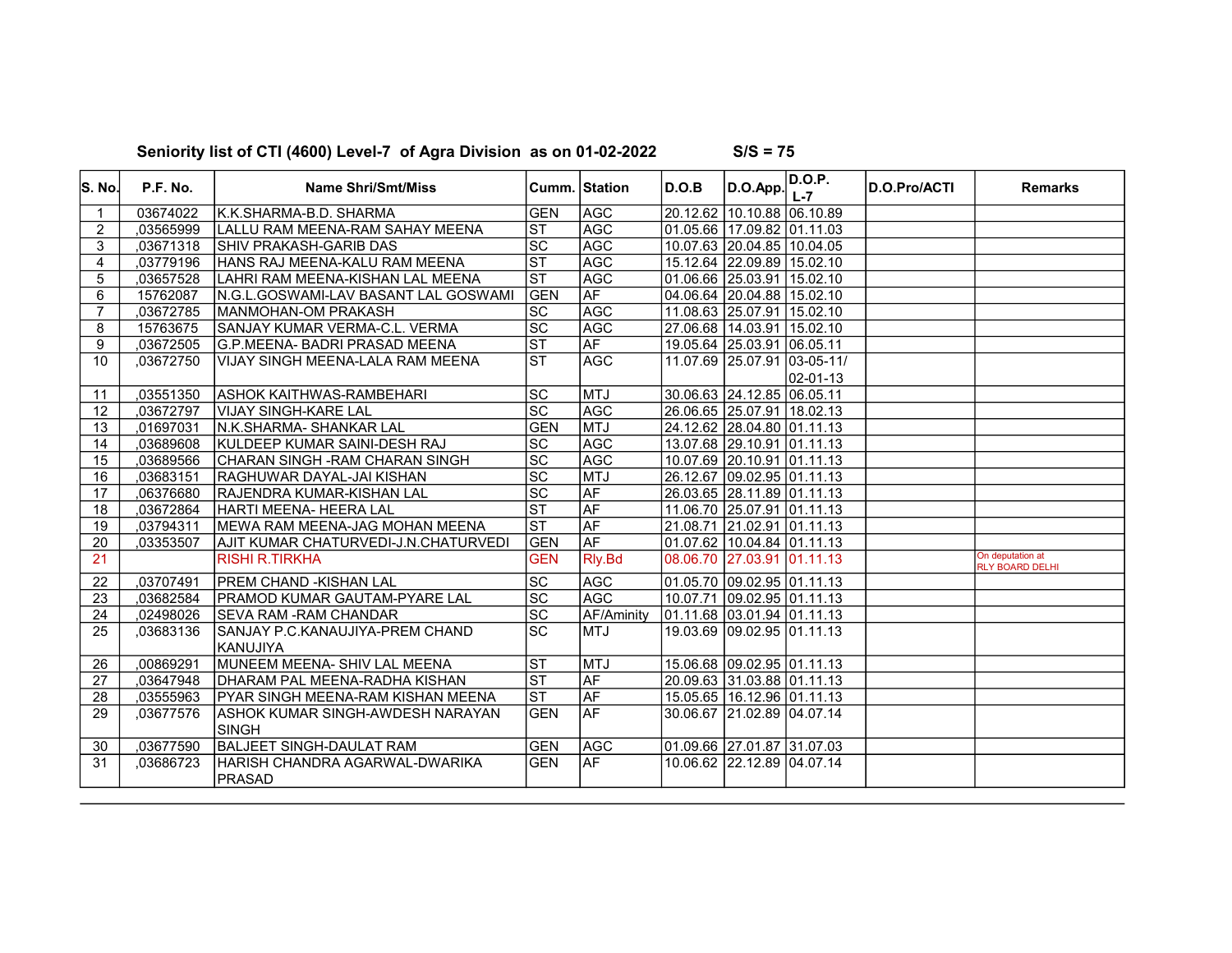| lS. No.        | P.F. No.  | <b>Name Shri/Smt/Miss</b>                     |                                      | Cumm.  Station | D.O.B | D.O.App.                    | D.O.P.<br>$L - 7$ | <b>D.O.Pro/ACTI</b> | <b>Remarks</b>                             |
|----------------|-----------|-----------------------------------------------|--------------------------------------|----------------|-------|-----------------------------|-------------------|---------------------|--------------------------------------------|
| $\mathbf{1}$   | 03674022  | IK.K.SHARMA-B.D. SHARMA                       | <b>GEN</b>                           | AGC            |       | 20.12.62 10.10.88 06.10.89  |                   |                     |                                            |
| $\overline{2}$ | ,03565999 | LALLU RAM MEENA-RAM SAHAY MEENA               | $ \mathsf{ST} $                      | <b>AGC</b>     |       | 01.05.66 17.09.82 01.11.03  |                   |                     |                                            |
| 3              | .03671318 | <b>SHIV PRAKASH-GARIB DAS</b>                 | $ \overline{sc} $                    | <b>AGC</b>     |       | 10.07.63 20.04.85 10.04.05  |                   |                     |                                            |
| $\overline{4}$ | ,03779196 | HANS RAJ MEENA-KALU RAM MEENA                 | $\overline{\text{ST}}$               | <b>AGC</b>     |       | 15.12.64 22.09.89 15.02.10  |                   |                     |                                            |
| 5              | ,03657528 | LAHRI RAM MEENA-KISHAN LAL MEENA              | ST                                   | <b>AGC</b>     |       | 01.06.66 25.03.91 15.02.10  |                   |                     |                                            |
| 6              | 15762087  | N.G.L.GOSWAMI-LAV BASANT LAL GOSWAMI          | <b>GEN</b>                           | AF             |       | 04.06.64 20.04.88 15.02.10  |                   |                     |                                            |
| $\overline{7}$ | ,03672785 | <b>IMANMOHAN-OM PRAKASH</b>                   | lsc                                  | <b>AGC</b>     |       | 11.08.63 25.07.91 15.02.10  |                   |                     |                                            |
| 8              | 15763675  | SANJAY KUMAR VERMA-C.L. VERMA                 | $\overline{SC}$                      | <b>AGC</b>     |       | 27.06.68 14.03.91 15.02.10  |                   |                     |                                            |
| 9              | ,03672505 | IG.P.MEENA- BADRI PRASAD MEENA                | $\overline{\text{ST}}$               | <b>AF</b>      |       | 19.05.64 25.03.91 06.05.11  |                   |                     |                                            |
| 10             | ,03672750 | VIJAY SINGH MEENA-LALA RAM MEENA              | <b>ST</b>                            | <b>AGC</b>     |       | 11.07.69 25.07.91 03-05-11/ |                   |                     |                                            |
|                |           |                                               |                                      |                |       |                             | 02-01-13          |                     |                                            |
| 11             | ,03551350 | <b>ASHOK KAITHWAS-RAMBEHARI</b>               | lsc                                  | MTJ            |       | 30.06.63 24.12.85 06.05.11  |                   |                     |                                            |
| 12             | ,03672797 | VIJAY SINGH-KARE LAL                          | $\overline{sc}$                      | <b>AGC</b>     |       | 26.06.65 25.07.91 18.02.13  |                   |                     |                                            |
| 13             | ,01697031 | IN.K.SHARMA-SHANKAR LAL                       | <b>GEN</b>                           | <b>MTJ</b>     |       | 24.12.62 28.04.80 01.11.13  |                   |                     |                                            |
| 14             | ,03689608 | KULDEEP KUMAR SAINI-DESH RAJ                  | $\overline{SC}$                      | <b>AGC</b>     |       | 13.07.68 29.10.91 01.11.13  |                   |                     |                                            |
| 15             | .03689566 | İCHARAN SINGH -RAM CHARAN SINGH               | $ \mathrm{SC} $                      | <b>AGC</b>     |       | 10.07.69 20.10.91 01.11.13  |                   |                     |                                            |
| 16             | ,03683151 | RAGHUWAR DAYAL-JAI KISHAN                     | $ \mathrm{sc} $                      | MTJ            |       | 26.12.67 09.02.95 01.11.13  |                   |                     |                                            |
| 17             | ,06376680 | RAJENDRA KUMAR-KISHAN LAL                     | $\overline{sc}$                      | <b>AF</b>      |       | 26.03.65 28.11.89 01.11.13  |                   |                     |                                            |
| 18             | ,03672864 | HARTI MEENA- HEERA LAL                        | $ \overline{\text{ST}} $             | <b>AF</b>      |       | 11.06.70 25.07.91 01.11.13  |                   |                     |                                            |
| 19             | 03794311  | MEWA RAM MEENA-JAG MOHAN MEENA                | $\overline{\text{ST}}$               | <b>AF</b>      |       | 21.08.71 21.02.91 01.11.13  |                   |                     |                                            |
| 20             | ,03353507 | AJIT KUMAR CHATURVEDI-J.N.CHATURVEDI          | <b>GEN</b>                           | <b>AF</b>      |       | 01.07.62 10.04.84 01.11.13  |                   |                     |                                            |
| 21             |           | <b>RISHI R.TIRKHA</b>                         | <b>GEN</b>                           | Rly.Bd         |       | 08.06.70 27.03.91 01.11.13  |                   |                     | On deputation at<br><b>RLY BOARD DELHI</b> |
| 22             | ,03707491 | <b>PREM CHAND -KISHAN LAL</b>                 | $ \overline{sc} $                    | <b>AGC</b>     |       | 01.05.70 09.02.95 01.11.13  |                   |                     |                                            |
| 23             | .03682584 | <b>PRAMOD KUMAR GAUTAM-PYARE LAL</b>          | $\overline{SC}$                      | AGC            |       | 10.07.71 09.02.95 01.11.13  |                   |                     |                                            |
| 24             | ,02498026 | <b>SEVA RAM - RAM CHANDAR</b>                 | $\overline{SC}$                      | AF/Aminity     |       | 01.11.68 03.01.94 01.11.13  |                   |                     |                                            |
| 25             | .03683136 | ISANJAY P.C.KANAUJIYA-PREM CHAND<br>İKANUJIYA | lsc                                  | <b>MTJ</b>     |       | 19.03.69 09.02.95 01.11.13  |                   |                     |                                            |
| 26             | .00869291 | MUNEEM MEENA- SHIV LAL MEENA                  | Ist                                  | IMTJ           |       | 15.06.68 09.02.95 01.11.13  |                   |                     |                                            |
| 27             | .03647948 | DHARAM PAL MEENA-RADHA KISHAN                 | $ \overline{\mathsf{S} \mathsf{T}} $ | <b>AF</b>      |       | 20.09.63 31.03.88 01.11.13  |                   |                     |                                            |
| 28             | .03555963 | IPYAR SINGH MEENA-RAM KISHAN MEENA            | lst                                  | <b>AF</b>      |       | 15.05.65 16.12.96 01.11.13  |                   |                     |                                            |
| 29             | ,03677576 | ASHOK KUMAR SINGH-AWDESH NARAYAN              | <b>GEN</b>                           | AF             |       | 30.06.67 21.02.89 04.07.14  |                   |                     |                                            |
|                |           | <b>SINGH</b>                                  |                                      |                |       |                             |                   |                     |                                            |
| 30             | .03677590 | <b>IBALJEET SINGH-DAULAT RAM</b>              | <b>GEN</b>                           | AGC            |       | 01.09.66 27.01.87 31.07.03  |                   |                     |                                            |
| 31             | ,03686723 | İHARISH CHANDRA AGARWAL-DWARIKA               | <b>GEN</b>                           | ∣AF            |       | 10.06.62 22.12.89 04.07.14  |                   |                     |                                            |
|                |           | PRASAD                                        |                                      |                |       |                             |                   |                     |                                            |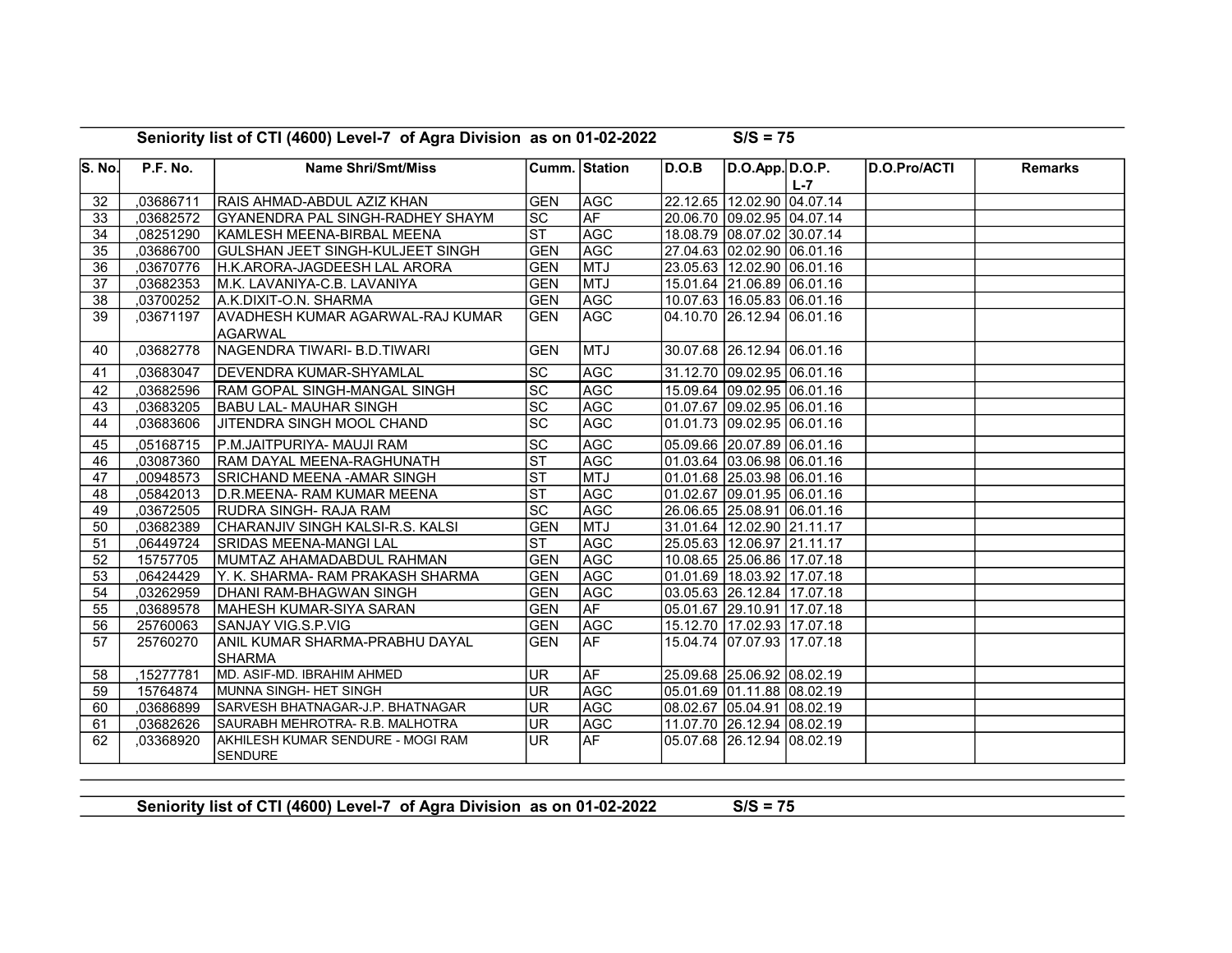| S. No. | P.F. No.  | <b>Name Shri/Smt/Miss</b>                           |                            | Cumm.  Station | D.O.B | D.O.App. D.O.P.                |         | D.O.Pro/ACTI | <b>Remarks</b> |
|--------|-----------|-----------------------------------------------------|----------------------------|----------------|-------|--------------------------------|---------|--------------|----------------|
|        |           |                                                     |                            |                |       |                                | $L - 7$ |              |                |
| 32     | ,03686711 | <b>RAIS AHMAD-ABDUL AZIZ KHAN</b>                   | <b>GEN</b>                 | AGC            |       | 22.12.65 12.02.90 04.07.14     |         |              |                |
| 33     | ,03682572 | <b>GYANENDRA PAL SINGH-RADHEY SHAYM</b>             | SC                         | <b>AF</b>      |       | 20.06.70 09.02.95 04.07.14     |         |              |                |
| 34     | ,08251290 | İKAMLESH MEENA-BIRBAL MEENA                         | ST                         | <b>AGC</b>     |       | 18.08.79 08.07.02 30.07.14     |         |              |                |
| 35     | ,03686700 | IGULSHAN JEET SINGH-KULJEET SINGH                   | <b>GEN</b>                 | <b>AGC</b>     |       | 27.04.63 02.02.90 06.01.16     |         |              |                |
| 36     | ,03670776 | H.K.ARORA-JAGDEESH LAL ARORA                        | <b>GEN</b>                 | <b>MTJ</b>     |       | 23.05.63 12.02.90 06.01.16     |         |              |                |
| 37     | ,03682353 | M.K. LAVANIYA-C.B. LAVANIYA                         | <b>GEN</b>                 | <b>MTJ</b>     |       | 15.01.64 21.06.89 06.01.16     |         |              |                |
| 38     | ,03700252 | A.K.DIXIT-O.N. SHARMA                               | <b>GEN</b>                 | <b>AGC</b>     |       | 10.07.63   16.05.83   06.01.16 |         |              |                |
| 39     | ,03671197 | <b>AVADHESH KUMAR AGARWAL-RAJ KUMAR</b><br>AGARWAL  | <b>GEN</b>                 | <b>AGC</b>     |       | 04.10.70 26.12.94 06.01.16     |         |              |                |
| 40     | ,03682778 | İNAGENDRA TIWARI- B.D.TIWARI                        | <b>GEN</b>                 | <b>MTJ</b>     |       | 30.07.68 26.12.94 06.01.16     |         |              |                |
| 41     | ,03683047 | <b>IDEVENDRA KUMAR-SHYAMLAL</b>                     | <b>SC</b>                  | <b>AGC</b>     |       | 31.12.70 09.02.95 06.01.16     |         |              |                |
| 42     | .03682596 | <b>IRAM GOPAL SINGH-MANGAL SINGH</b>                | <b>SC</b>                  | <b>AGC</b>     |       | 15.09.64 09.02.95 06.01.16     |         |              |                |
| 43     | ,03683205 | <b>BABU LAL- MAUHAR SINGH</b>                       | $\overline{SC}$            | <b>AGC</b>     |       | 01.07.67 09.02.95 06.01.16     |         |              |                |
| 44     | ,03683606 | IJITENDRA SINGH MOOL CHAND                          | $\overline{SC}$            | <b>AGC</b>     |       | 01.01.73 09.02.95 06.01.16     |         |              |                |
| 45     | ,05168715 | P.M.JAITPURIYA- MAUJI RAM                           | $\overline{SC}$            | <b>AGC</b>     |       | 05.09.66  20.07.89  06.01.16   |         |              |                |
| 46     | .03087360 | <b>RAM DAYAL MEENA-RAGHUNATH</b>                    | $ \overline{\mathsf{ST}} $ | <b>AGC</b>     |       | 01.03.64  03.06.98  06.01.16   |         |              |                |
| 47     | ,00948573 | SRICHAND MEENA - AMAR SINGH                         | ST                         | <b>MTJ</b>     |       | 01.01.68 25.03.98 06.01.16     |         |              |                |
| 48     | ,05842013 | D.R.MEENA- RAM KUMAR MEENA                          | $ \mathsf{ST} $            | <b>AGC</b>     |       | 01.02.67 09.01.95 06.01.16     |         |              |                |
| 49     | ,03672505 | <b>RUDRA SINGH- RAJA RAM</b>                        | SC                         | <b>AGC</b>     |       | 26.06.65 25.08.91 06.01.16     |         |              |                |
| 50     | ,03682389 | CHARANJIV SINGH KALSI-R.S. KALSI                    | <b>GEN</b>                 | <b>MTJ</b>     |       | 31.01.64   12.02.90   21.11.17 |         |              |                |
| 51     | ,06449724 | İSRIDAS MEENA-MANGI LAL                             | ST                         | <b>AGC</b>     |       | 25.05.63 12.06.97 21.11.17     |         |              |                |
| 52     | 15757705  | <b>IMUMTAZ AHAMADABDUL RAHMAN</b>                   | <b>GEN</b>                 | <b>AGC</b>     |       | 10.08.65 25.06.86 17.07.18     |         |              |                |
| 53     | ,06424429 | Y. K. SHARMA- RAM PRAKASH SHARMA                    | <b>GEN</b>                 | <b>AGC</b>     |       | 01.01.69 18.03.92 17.07.18     |         |              |                |
| 54     | ,03262959 | <b>DHANI RAM-BHAGWAN SINGH</b>                      | <b>GEN</b>                 | AGC            |       | 03.05.63 26.12.84 17.07.18     |         |              |                |
| 55     | ,03689578 | <b>IMAHESH KUMAR-SIYA SARAN</b>                     | <b>GEN</b>                 | AF             |       | 05.01.67 29.10.91 17.07.18     |         |              |                |
| 56     | 25760063  | SANJAY VIG.S.P.VIG                                  | <b>GEN</b>                 | AGC            |       | 15.12.70 17.02.93 17.07.18     |         |              |                |
| 57     | 25760270  | ANIL KUMAR SHARMA-PRABHU DAYAL<br><b>SHARMA</b>     | <b>GEN</b>                 | <b>AF</b>      |       | 15.04.74 07.07.93 17.07.18     |         |              |                |
| 58     | ,15277781 | MD. ASIF-MD. IBRAHIM AHMED                          | <b>UR</b>                  | ∣AF            |       | 25.09.68 25.06.92 08.02.19     |         |              |                |
| 59     | 15764874  | MUNNA SINGH- HET SINGH                              | <b>UR</b>                  | AGC            |       | 05.01.69 01.11.88 08.02.19     |         |              |                |
| 60     | ,03686899 | SARVESH BHATNAGAR-J.P. BHATNAGAR                    | <b>UR</b>                  | <b>AGC</b>     |       | 08.02.67 05.04.91 08.02.19     |         |              |                |
| 61     | .03682626 | SAURABH MEHROTRA- R.B. MALHOTRA                     | UR <sub></sub>             | AGC            |       | 11.07.70 26.12.94 08.02.19     |         |              |                |
| 62     | 03368920  | AKHILESH KUMAR SENDURE - MOGI RAM<br><b>SENDURE</b> | UR <sup>1</sup>            | <b>AF</b>      |       | 05.07.68 26.12.94 08.02.19     |         |              |                |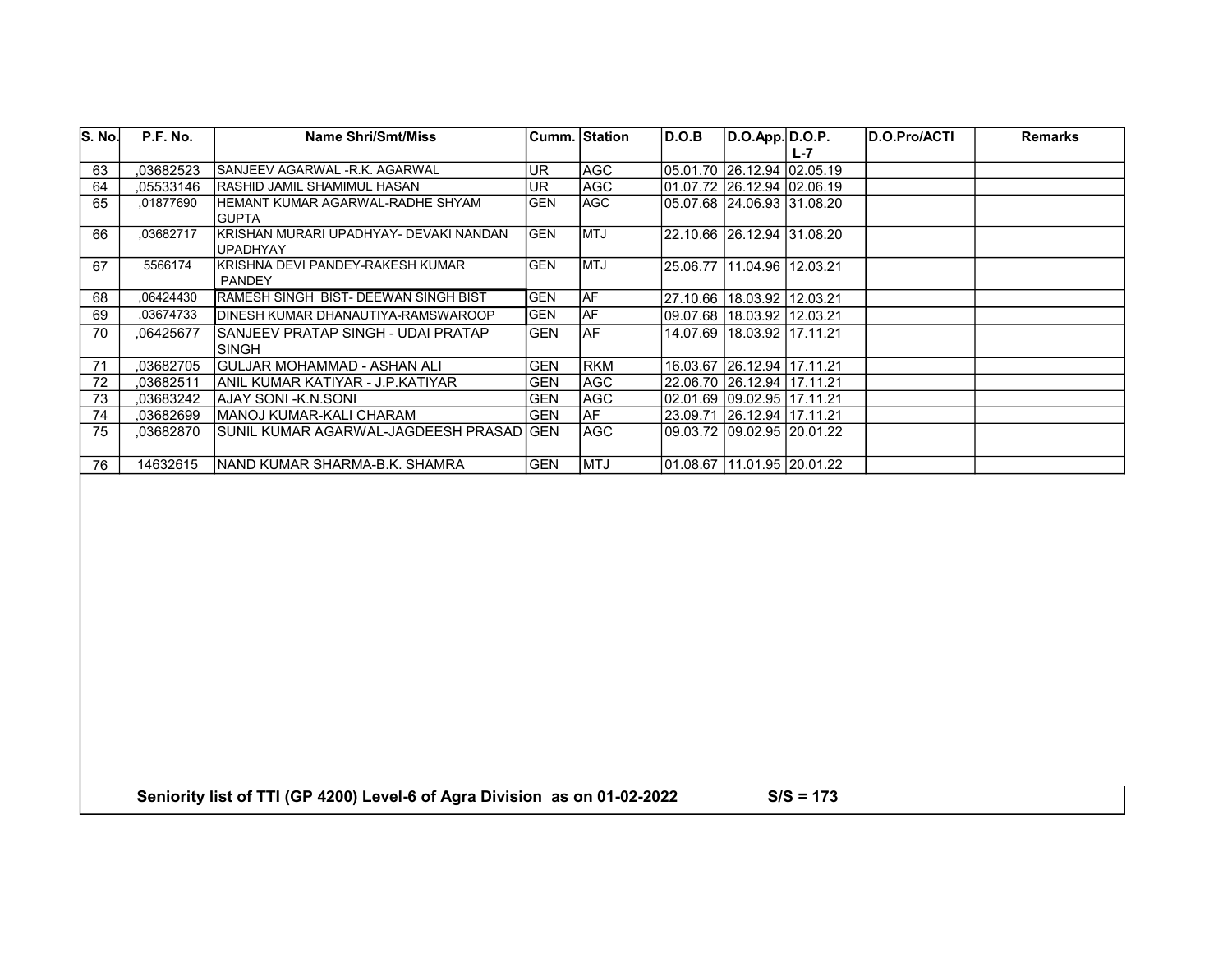| S. No. | P.F. No.  | Name Shri/Smt/Miss                                     |            | Cumm.  Station_ | D.O.B                      | D.O.App. D.O.P.              |     | <b>D.O.Pro/ACTI</b> | <b>Remarks</b> |
|--------|-----------|--------------------------------------------------------|------------|-----------------|----------------------------|------------------------------|-----|---------------------|----------------|
|        |           |                                                        |            |                 |                            |                              | L-7 |                     |                |
| 63     | .03682523 | SANJEEV AGARWAL -R.K. AGARWAL                          | UR         | IAGC            |                            | 05.01.70  26.12.94  02.05.19 |     |                     |                |
| 64     | .05533146 | <b>IRASHID JAMIL SHAMIMUL HASAN</b>                    | UR         | lAGC.           | 01.07.72 26.12.94 02.06.19 |                              |     |                     |                |
| 65     | ,01877690 | IHEMANT KUMAR AGARWAL-RADHE SHYAM<br>IGUPTA            | <b>GEN</b> | <b>IAGC</b>     |                            | 05.07.68 24.06.93 31.08.20   |     |                     |                |
| 66     | ,03682717 | IKRISHAN MURARI UPADHYAY- DEVAKI NANDAN I<br>lUPADHYAY | <b>GEN</b> | <b>IMTJ</b>     |                            | 22.10.66 26.12.94 31.08.20   |     |                     |                |
| 67     | 5566174   | İKRISHNA DEVI PANDEY-RAKESH KUMAR<br>PANDEY            | <b>GEN</b> | <b>IMTJ</b>     |                            | 25.06.77 11.04.96 12.03.21   |     |                     |                |
| 68     | .06424430 | RAMESH SINGH BIST- DEEWAN SINGH BIST                   | <b>GEN</b> | laf             |                            | 27.10.66 18.03.92 12.03.21   |     |                     |                |
| 69     | .03674733 | DINESH KUMAR DHANAUTIYA-RAMSWAROOP                     | <b>GEN</b> | lAF             |                            | 09.07.68 18.03.92 12.03.21   |     |                     |                |
| 70     | ,06425677 | ISANJEEV PRATAP SINGH - UDAI PRATAP<br>ISINGH          | <b>GEN</b> | IAF             |                            | 14.07.69 18.03.92 17.11.21   |     |                     |                |
| 71     | .03682705 | GULJAR MOHAMMAD - ASHAN ALI                            | <b>GEN</b> | <b>IRKM</b>     |                            | 16.03.67 26.12.94 17.11.21   |     |                     |                |
| 72     | .03682511 | IANIL KUMAR KATIYAR - J.P.KATIYAR                      | <b>GEN</b> | IAGC            |                            | 22.06.70 26.12.94 17.11.21   |     |                     |                |
| 73     | .03683242 | IAJAY SONI -K.N.SONI                                   | <b>GEN</b> | IAGC            |                            | 02.01.69 09.02.95 17.11.21   |     |                     |                |
| 74     | .03682699 | İMANOJ KUMAR-KALI CHARAM                               | <b>GEN</b> | l AF            |                            | 23.09.71 26.12.94 17.11.21   |     |                     |                |
| 75     | .03682870 | SUNIL KUMAR AGARWAL-JAGDEESH PRASAD GEN                |            | IAGC            |                            | 09.03.72 09.02.95 20.01.22   |     |                     |                |
| 76     | 14632615  | INAND KUMAR SHARMA-B.K. SHAMRA                         | <b>GEN</b> | <b>IMTJ</b>     |                            | 01.08.67 111.01.95 20.01.22  |     |                     |                |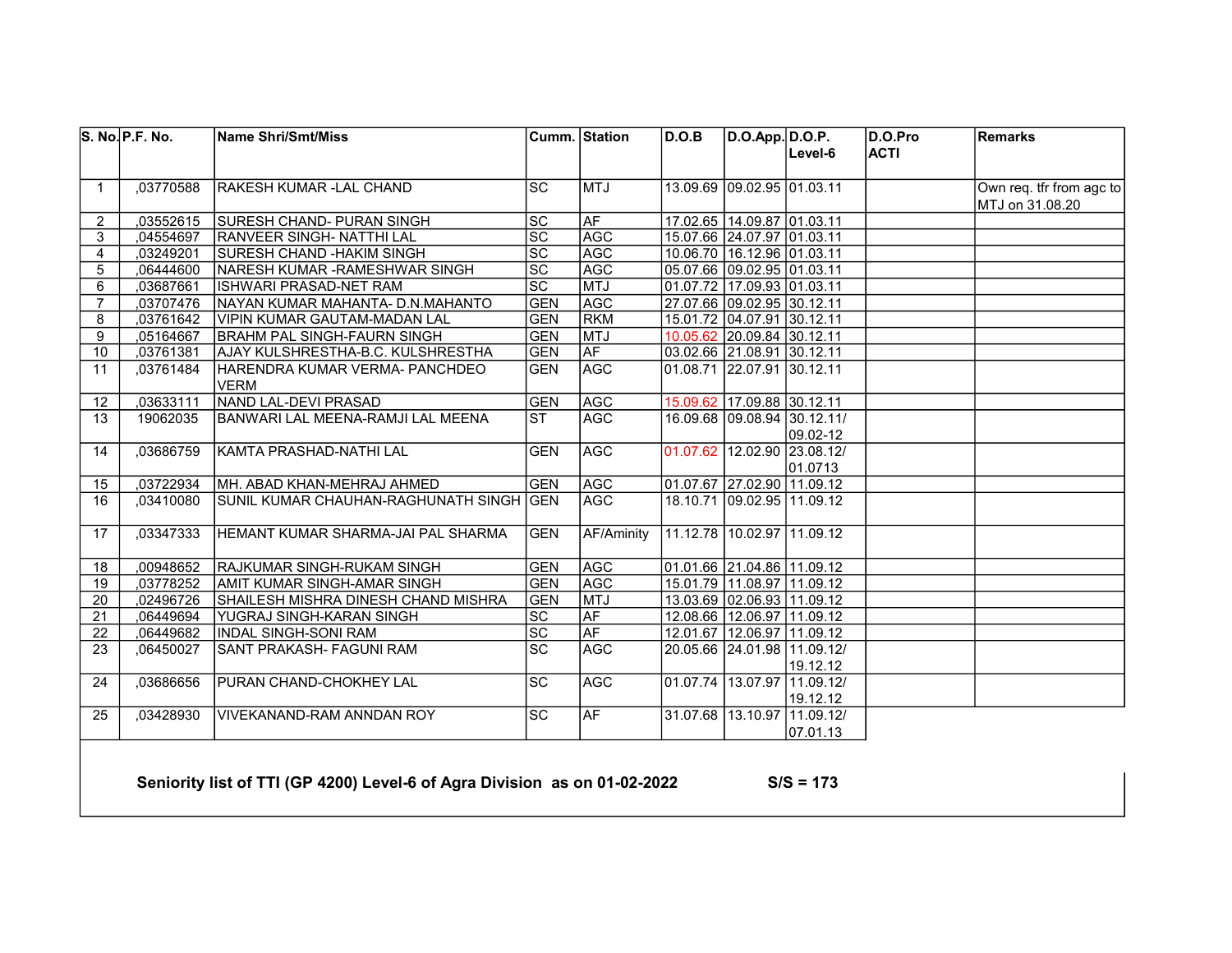|                 | S. No. P.F. No. | <b>Name Shri/Smt/Miss</b>               | Cumm. Station     |            | D.O.B | D.O.App. D.O.P.                |                             | D.O.Pro     | Remarks                  |
|-----------------|-----------------|-----------------------------------------|-------------------|------------|-------|--------------------------------|-----------------------------|-------------|--------------------------|
|                 |                 |                                         |                   |            |       |                                | Level-6                     | <b>ACTI</b> |                          |
| $\mathbf{1}$    | 03770588        | RAKESH KUMAR - LAL CHAND                | lsc               | <b>MTJ</b> |       | 13.09.69 09.02.95 01.03.11     |                             |             | Own req. tfr from agc to |
|                 |                 |                                         |                   |            |       |                                |                             |             | MTJ on 31.08.20          |
| $\overline{2}$  | ,03552615       | <b>SURESH CHAND- PURAN SINGH</b>        | SC                | AF         |       | 17.02.65 14.09.87 01.03.11     |                             |             |                          |
| 3               | ,04554697       | RANVEER SINGH- NATTHI LAL               | $\overline{sc}$   | <b>AGC</b> |       | 15.07.66 24.07.97 01.03.11     |                             |             |                          |
| 4               | ,03249201       | SURESH CHAND - HAKIM SINGH              | $\overline{SC}$   | AGC        |       | 10.06.70 16.12.96 01.03.11     |                             |             |                          |
| 5               | 06444600        | NARESH KUMAR - RAMESHWAR SINGH          | $\overline{SC}$   | <b>AGC</b> |       | 05.07.66 09.02.95 01.03.11     |                             |             |                          |
| 6               | 03687661        | <b>ISHWARI PRASAD-NET RAM</b>           | $\overline{SC}$   | <b>MTJ</b> |       | 01.07.72 17.09.93 01.03.11     |                             |             |                          |
| $\overline{7}$  | ,03707476       | NAYAN KUMAR MAHANTA- D.N.MAHANTO        | <b>GEN</b>        | AGC        |       | 27.07.66 09.02.95 30.12.11     |                             |             |                          |
| 8               | 03761642        | VIPIN KUMAR GAUTAM-MADAN LAL            | <b>GEN</b>        | <b>RKM</b> |       | 15.01.72 04.07.91 30.12.11     |                             |             |                          |
| 9               | ,05164667       | BRAHM PAL SINGH-FAURN SINGH             | <b>GEN</b>        | <b>MTJ</b> |       | 10.05.62 20.09.84 30.12.11     |                             |             |                          |
| 10              | ,03761381       | AJAY KULSHRESTHA-B.C. KULSHRESTHA       | <b>GEN</b>        | <b>AF</b>  |       | 03.02.66 21.08.91 30.12.11     |                             |             |                          |
| 11              | .03761484       | İHARENDRA KUMAR VERMA- PANCHDEO         | <b>GEN</b>        | <b>AGC</b> |       | 01.08.71 22.07.91 30.12.11     |                             |             |                          |
|                 |                 | <b>VERM</b>                             |                   |            |       |                                |                             |             |                          |
| 12 <sup>2</sup> | ,03633111       | NAND LAL-DEVI PRASAD                    | <b>GEN</b>        | <b>AGC</b> |       | 15.09.62 17.09.88 30.12.11     |                             |             |                          |
| 13              | 19062035        | BANWARI LAL MEENA-RAMJI LAL MEENA       | Ist               | AGC        |       |                                | 16.09.68 09.08.94 30.12.11/ |             |                          |
|                 |                 |                                         |                   |            |       |                                | 09.02-12                    |             |                          |
| 14              | ,03686759       | KAMTA PRASHAD-NATHI LAL                 | <b>GEN</b>        | <b>AGC</b> |       |                                | 01.07.62 12.02.90 23.08.12/ |             |                          |
|                 |                 |                                         |                   |            |       |                                | 101.0713                    |             |                          |
| 15              | ,03722934       | MH. ABAD KHAN-MEHRAJ AHMED              | <b>GEN</b>        | AGC        |       | 01.07.67 27.02.90 11.09.12     |                             |             |                          |
| 16              | .03410080       | SUNIL KUMAR CHAUHAN-RAGHUNATH SINGH GEN |                   | AGC        |       | 18.10.71 09.02.95 111.09.12    |                             |             |                          |
|                 |                 |                                         |                   |            |       |                                |                             |             |                          |
| 17              | ,03347333       | HEMANT KUMAR SHARMA-JAI PAL SHARMA      | <b>GEN</b>        | AF/Aminity |       | 11.12.78 10.02.97 11.09.12     |                             |             |                          |
|                 |                 |                                         |                   |            |       |                                |                             |             |                          |
| 18              | ,00948652       | RAJKUMAR SINGH-RUKAM SINGH              | <b>GEN</b>        | <b>AGC</b> |       | 01.01.66 21.04.86 11.09.12     |                             |             |                          |
| 19              | ,03778252       | AMIT KUMAR SINGH-AMAR SINGH             | <b>GEN</b>        | <b>AGC</b> |       | 15.01.79 11.08.97 11.09.12     |                             |             |                          |
| 20              | ,02496726       | SHAILESH MISHRA DINESH CHAND MISHRA     | <b>GEN</b>        | <b>MTJ</b> |       | 13.03.69 02.06.93 11.09.12     |                             |             |                          |
| 21              | ,06449694       | YUGRAJ SINGH-KARAN SINGH                | SC                | <b>AF</b>  |       | 12.08.66 12.06.97 11.09.12     |                             |             |                          |
| 22              | ,06449682       | IINDAL SINGH-SONI RAM                   | $\overline{sc}$   | AF         |       | 12.01.67   12.06.97   11.09.12 |                             |             |                          |
| 23              | .06450027       | <b>SANT PRAKASH- FAGUNI RAM</b>         | $\overline{SC}$   | <b>AGC</b> |       |                                | 20.05.66 24.01.98 11.09.12/ |             |                          |
|                 |                 |                                         |                   |            |       |                                | 19.12.12                    |             |                          |
| 24              | ,03686656       | IPURAN CHAND-CHOKHEY LAL                | $ \overline{SC} $ | AGC        |       |                                | 01.07.74 13.07.97 11.09.12/ |             |                          |
|                 |                 |                                         |                   |            |       |                                | 19.12.12                    |             |                          |
| 25              | ,03428930       | <b>VIVEKANAND-RAM ANNDAN ROY</b>        | <b>SC</b>         | <b>AF</b>  |       |                                | 31.07.68 13.10.97 11.09.12/ |             |                          |
|                 |                 |                                         |                   |            |       |                                | 07.01.13                    |             |                          |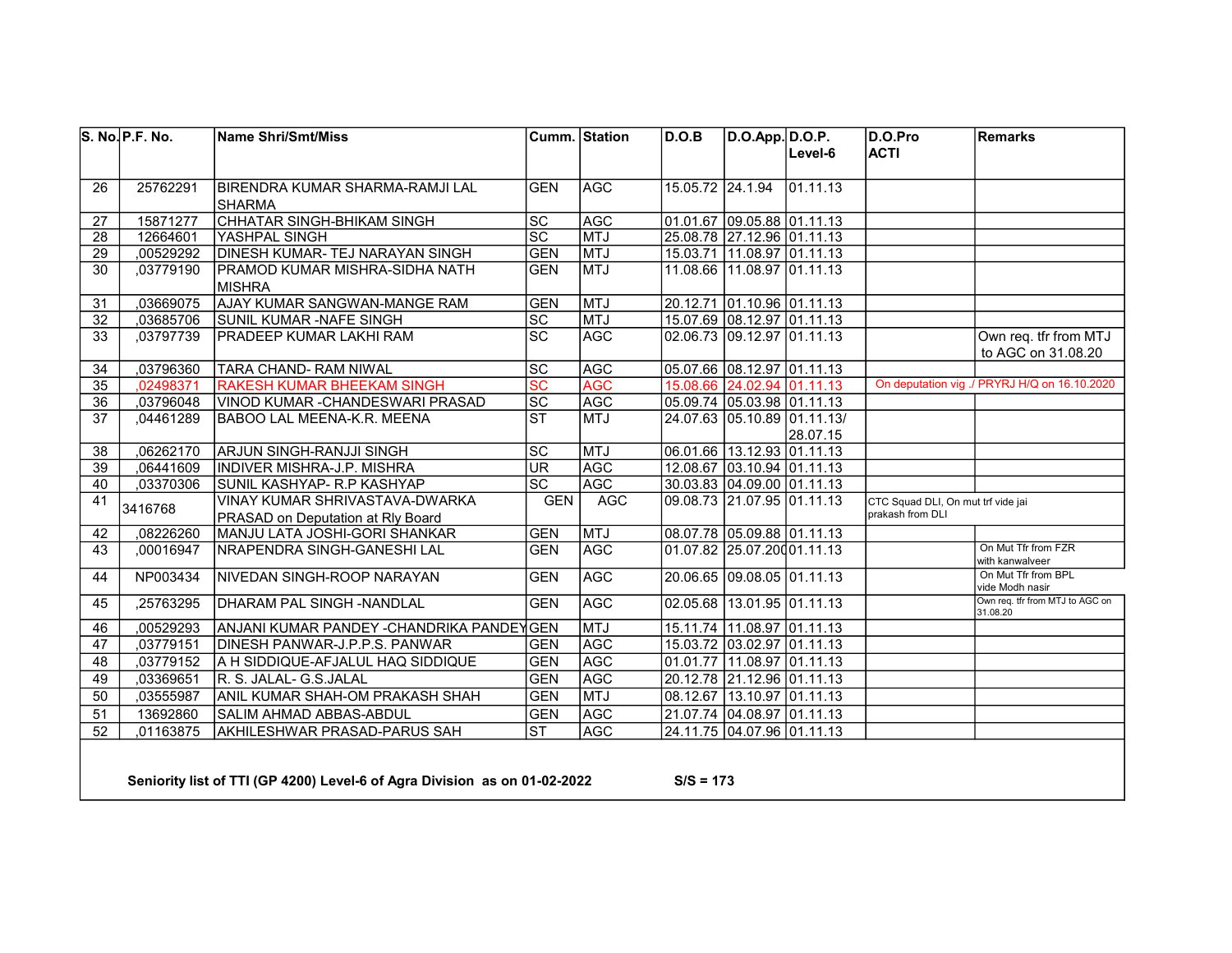|                 | S. No. P.F. No. | <b>Name Shri/Smt/Miss</b>                                                 |                          | Cumm. Station | D.O.B            | $D.O.App.$ $D.O.P.$        |                             | D.O.Pro                                                | <b>Remarks</b>                               |
|-----------------|-----------------|---------------------------------------------------------------------------|--------------------------|---------------|------------------|----------------------------|-----------------------------|--------------------------------------------------------|----------------------------------------------|
|                 |                 |                                                                           |                          |               |                  |                            | Level-6                     | <b>ACTI</b>                                            |                                              |
| 26              | 25762291        | BIRENDRA KUMAR SHARMA-RAMJI LAL                                           | <b>GEN</b>               | <b>AGC</b>    | 15.05.72 24.1.94 |                            | 01.11.13                    |                                                        |                                              |
|                 |                 | <b>SHARMA</b>                                                             |                          |               |                  |                            |                             |                                                        |                                              |
| 27              | 15871277        | CHHATAR SINGH-BHIKAM SINGH                                                | $ \mathrm{SC} $          | <b>AGC</b>    |                  | 01.01.67 09.05.88 01.11.13 |                             |                                                        |                                              |
| 28              | 12664601        | YASHPAL SINGH                                                             | $\overline{SC}$          | MTJ           |                  | 25.08.78 27.12.96 01.11.13 |                             |                                                        |                                              |
| 29              | ,00529292       | DINESH KUMAR-TEJ NARAYAN SINGH                                            | <b>GEN</b>               | <b>MTJ</b>    |                  | 15.03.71 11.08.97 01.11.13 |                             |                                                        |                                              |
| 30              | ,03779190       | PRAMOD KUMAR MISHRA-SIDHA NATH<br><b>MISHRA</b>                           | <b>GEN</b>               | <b>MTJ</b>    |                  | 11.08.66 11.08.97 01.11.13 |                             |                                                        |                                              |
| 31              | ,03669075       | <b>AJAY KUMAR SANGWAN-MANGE RAM</b>                                       | <b>GEN</b>               | MTJ           |                  | 20.12.71 01.10.96 01.11.13 |                             |                                                        |                                              |
| 32              | ,03685706       | SUNIL KUMAR -NAFE SINGH                                                   | $\overline{SC}$          | <b>MTJ</b>    |                  | 15.07.69 08.12.97 01.11.13 |                             |                                                        |                                              |
| 33              | ,03797739       | <b>PRADEEP KUMAR LAKHI RAM</b>                                            | $\overline{sc}$          | <b>AGC</b>    |                  | 02.06.73 09.12.97 01.11.13 |                             |                                                        | Own req. tfr from MTJ                        |
|                 |                 |                                                                           |                          |               |                  |                            |                             |                                                        | to AGC on 31.08.20                           |
| 34              | ,03796360       | TARA CHAND-RAM NIWAL                                                      | $\overline{SC}$          | <b>AGC</b>    |                  | 05.07.66 08.12.97 01.11.13 |                             |                                                        |                                              |
| 35              | 02498371        | <b>RAKESH KUMAR BHEEKAM SINGH</b>                                         | $\overline{\mathsf{sc}}$ | <b>AGC</b>    |                  | 15.08.66 24.02.94 01.11.13 |                             |                                                        | On deputation vig ./ PRYRJ H/Q on 16.10.2020 |
| 36              | ,03796048       | VINOD KUMAR -CHANDESWARI PRASAD                                           | $\overline{SC}$          | AGC           |                  | 05.09.74 05.03.98 01.11.13 |                             |                                                        |                                              |
| 37              | ,04461289       | <b>BABOO LAL MEENA-K.R. MEENA</b>                                         | $\overline{\text{ST}}$   | <b>MTJ</b>    |                  |                            | 24.07.63 05.10.89 01.11.13/ |                                                        |                                              |
|                 |                 |                                                                           |                          |               |                  |                            | 28.07.15                    |                                                        |                                              |
| 38              | ,06262170       | ARJUN SINGH-RANJJI SINGH                                                  | $ \mathrm{SC} $          | MTJ           |                  | 06.01.66 13.12.93 01.11.13 |                             |                                                        |                                              |
| 39              | .06441609       | INDIVER MISHRA-J.P. MISHRA                                                | <b>UR</b>                | AGC           |                  | 12.08.67 03.10.94 01.11.13 |                             |                                                        |                                              |
| 40              | ,03370306       | SUNIL KASHYAP- R.P KASHYAP                                                | $\overline{sc}$          | <b>AGC</b>    |                  | 30.03.83 04.09.00 01.11.13 |                             |                                                        |                                              |
| 41              | 3416768         | VINAY KUMAR SHRIVASTAVA-DWARKA<br>PRASAD on Deputation at Rly Board       | <b>GEN</b>               | <b>AGC</b>    |                  | 09.08.73 21.07.95 01.11.13 |                             | CTC Squad DLI, On mut trf vide jai<br>prakash from DLI |                                              |
| 42              | ,08226260       | MANJU LATA JOSHI-GORI SHANKAR                                             | <b>GEN</b>               | <b>MTJ</b>    |                  | 08.07.78 05.09.88 01.11.13 |                             |                                                        |                                              |
| 43              | ,00016947       | NRAPENDRA SINGH-GANESHI LAL                                               | <b>GEN</b>               | <b>AGC</b>    |                  | 01.07.82 25.07.20001.11.13 |                             |                                                        | On Mut Tfr from FZR<br>with kanwalveer       |
| 44              | NP003434        | NIVEDAN SINGH-ROOP NARAYAN                                                | <b>GEN</b>               | <b>AGC</b>    |                  | 20.06.65 09.08.05 01.11.13 |                             |                                                        | On Mut Tfr from BPL<br>vide Modh nasir       |
| 45              | ,25763295       | DHARAM PAL SINGH -NANDLAL                                                 | <b>GEN</b>               | <b>AGC</b>    |                  | 02.05.68 13.01.95 01.11.13 |                             |                                                        | Own req. tfr from MTJ to AGC on<br>31.08.20  |
| 46              | ,00529293       | ANJANI KUMAR PANDEY -CHANDRIKA PANDEYGEN                                  |                          | MTJ           |                  | 15.11.74 11.08.97 01.11.13 |                             |                                                        |                                              |
| 47              | ,03779151       | <b>DINESH PANWAR-J.P.P.S. PANWAR</b>                                      | <b>GEN</b>               | <b>AGC</b>    |                  | 15.03.72 03.02.97 01.11.13 |                             |                                                        |                                              |
| 48              | ,03779152       | A H SIDDIQUE-AFJALUL HAQ SIDDIQUE                                         | <b>GEN</b>               | <b>AGC</b>    |                  | 01.01.77 11.08.97 01.11.13 |                             |                                                        |                                              |
| 49              | ,03369651       | R. S. JALAL- G.S.JALAL                                                    | <b>GEN</b>               | <b>AGC</b>    |                  | 20.12.78 21.12.96 01.11.13 |                             |                                                        |                                              |
| 50              | ,03555987       | ANIL KUMAR SHAH-OM PRAKASH SHAH                                           | <b>GEN</b>               | <b>MTJ</b>    |                  | 08.12.67 13.10.97 01.11.13 |                             |                                                        |                                              |
| 51              | 13692860        | SALIM AHMAD ABBAS-ABDUL                                                   | <b>GEN</b>               | AGC           |                  | 21.07.74 04.08.97 01.11.13 |                             |                                                        |                                              |
| $\overline{52}$ | ,01163875       | AKHILESHWAR PRASAD-PARUS SAH                                              | $\overline{\text{ST}}$   | <b>AGC</b>    |                  | 24.11.75 04.07.96 01.11.13 |                             |                                                        |                                              |
|                 |                 | Seniority list of TTI (GP 4200) Level-6 of Agra Division as on 01-02-2022 |                          |               | $S/S = 173$      |                            |                             |                                                        |                                              |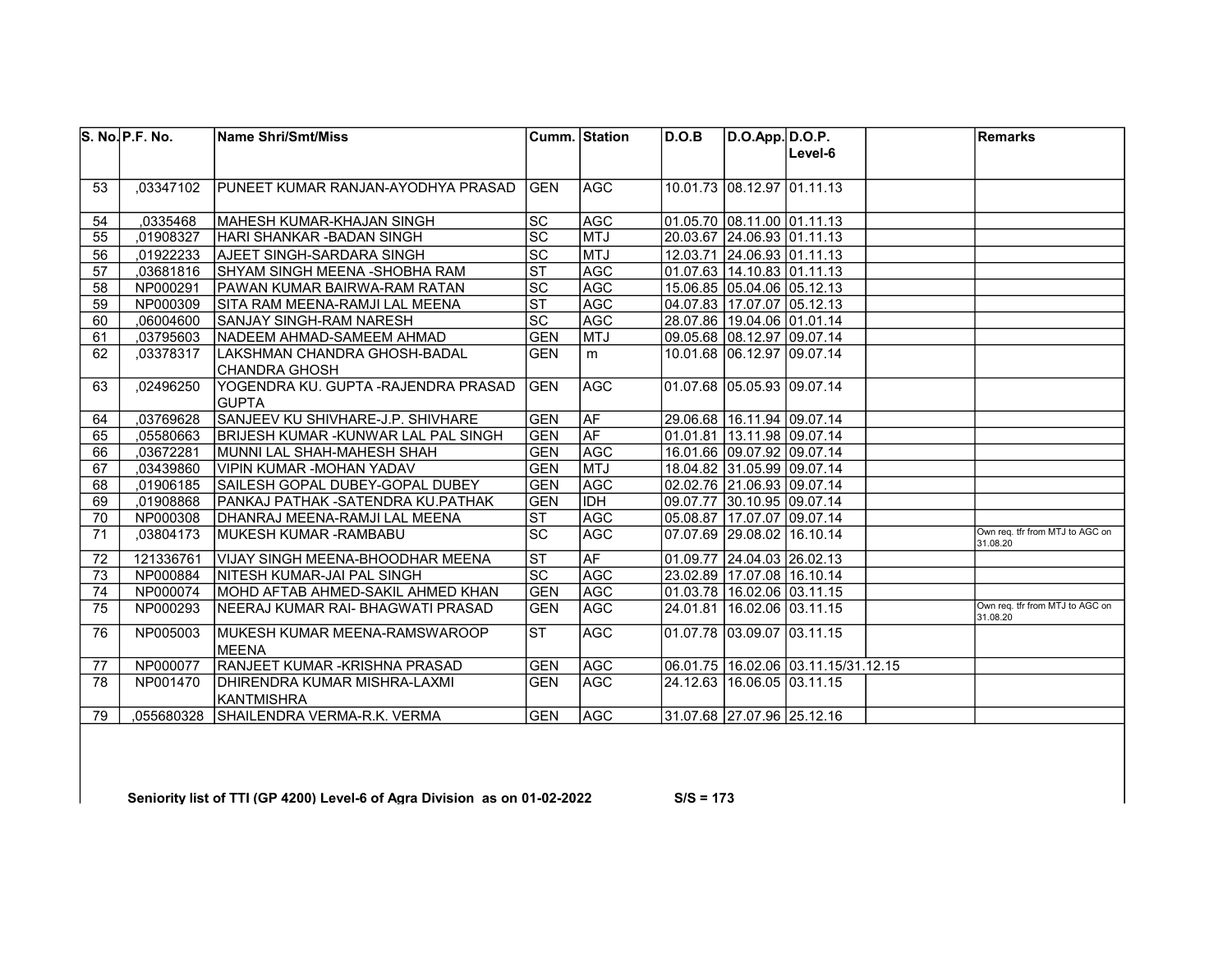|    | S. No. P.F. No. | <b>Name Shri/Smt/Miss</b>             |                        | Cumm. Station | D.O.B | D.O.App. D.O.P.                |                                         | <b>Remarks</b>                              |
|----|-----------------|---------------------------------------|------------------------|---------------|-------|--------------------------------|-----------------------------------------|---------------------------------------------|
|    |                 |                                       |                        |               |       |                                | Level-6                                 |                                             |
|    |                 |                                       |                        |               |       |                                |                                         |                                             |
| 53 | .03347102       | IPUNEET KUMAR RANJAN-AYODHYA PRASAD   | <b>GEN</b>             | <b>AGC</b>    |       | 10.01.73 08.12.97 01.11.13     |                                         |                                             |
|    |                 |                                       |                        |               |       |                                |                                         |                                             |
| 54 | ,0335468        | MAHESH KUMAR-KHAJAN SINGH             | <b>SC</b>              | <b>AGC</b>    |       | 01.05.70 08.11.00 01.11.13     |                                         |                                             |
| 55 | .01908327       | HARI SHANKAR -BADAN SINGH             | SC                     | <b>MTJ</b>    |       | 20.03.67 24.06.93 01.11.13     |                                         |                                             |
| 56 | ,01922233       | AJEET SINGH-SARDARA SINGH             | $\overline{SC}$        | MTJ           |       | 12.03.71 24.06.93 01.11.13     |                                         |                                             |
| 57 | ,03681816       | SHYAM SINGH MEENA - SHOBHA RAM        | $\overline{\text{ST}}$ | <b>AGC</b>    |       | 01.07.63 14.10.83 01.11.13     |                                         |                                             |
| 58 | NP000291        | PAWAN KUMAR BAIRWA-RAM RATAN          | $\overline{SC}$        | <b>AGC</b>    |       | 15.06.85 05.04.06 05.12.13     |                                         |                                             |
| 59 | NP000309        | SITA RAM MEENA-RAMJI LAL MEENA        | $\overline{\text{ST}}$ | <b>AGC</b>    |       | 04.07.83 17.07.07 05.12.13     |                                         |                                             |
| 60 | ,06004600       | SANJAY SINGH-RAM NARESH               | $\overline{SC}$        | <b>AGC</b>    |       | 28.07.86 19.04.06 01.01.14     |                                         |                                             |
| 61 | ,03795603       | INADEEM AHMAD-SAMEEM AHMAD            | <b>GEN</b>             | <b>MTJ</b>    |       | 09.05.68 08.12.97 09.07.14     |                                         |                                             |
| 62 | ,03378317       | LAKSHMAN CHANDRA GHOSH-BADAL          | <b>GEN</b>             | m             |       | 10.01.68 06.12.97 09.07.14     |                                         |                                             |
|    |                 | ICHANDRA GHOSH                        |                        |               |       |                                |                                         |                                             |
| 63 | ,02496250       | YOGENDRA KU. GUPTA -RAJENDRA PRASAD   | <b>GEN</b>             | <b>AGC</b>    |       | 01.07.68 05.05.93 09.07.14     |                                         |                                             |
|    |                 | <b>IGUPTA</b>                         |                        |               |       |                                |                                         |                                             |
| 64 | ,03769628       | SANJEEV KU SHIVHARE-J.P. SHIVHARE     | <b>GEN</b>             | AF            |       | 29.06.68   16.11.94   09.07.14 |                                         |                                             |
| 65 | .05580663       | BRIJESH KUMAR -KUNWAR LAL PAL SINGH   | <b>GEN</b>             | <b>AF</b>     |       | 01.01.81 13.11.98 09.07.14     |                                         |                                             |
| 66 | ,03672281       | MUNNI LAL SHAH-MAHESH SHAH            | <b>GEN</b>             | AGC           |       | 16.01.66 09.07.92 09.07.14     |                                         |                                             |
| 67 | .03439860       | İVIPIN KUMAR -MOHAN YADAV             | <b>GEN</b>             | <b>MTJ</b>    |       | 18.04.82 31.05.99 09.07.14     |                                         |                                             |
| 68 | ,01906185       | SAILESH GOPAL DUBEY-GOPAL DUBEY       | <b>GEN</b>             | AGC           |       | 02.02.76 21.06.93 09.07.14     |                                         |                                             |
| 69 | ,01908868       | PANKAJ PATHAK -SATENDRA KU.PATHAK     | <b>GEN</b>             | <b>IDH</b>    |       | 09.07.77 30.10.95 09.07.14     |                                         |                                             |
| 70 | NP000308        | <b>IDHANRAJ MEENA-RAMJI LAL MEENA</b> | $\overline{\text{ST}}$ | <b>AGC</b>    |       | 05.08.87 17.07.07 09.07.14     |                                         |                                             |
| 71 | .03804173       | <b>IMUKESH KUMAR -RAMBABU</b>         | <b>SC</b>              | AGC           |       | l07.07.69 l29.08.02 l16.10.14  |                                         | Own reg. tfr from MTJ to AGC on<br>31.08.20 |
| 72 | 121336761       | IVIJAY SINGH MEENA-BHOODHAR MEENA     | <b>ST</b>              | <b>AF</b>     |       | 01.09.77 24.04.03 26.02.13     |                                         |                                             |
| 73 | NP000884        | NITESH KUMAR-JAI PAL SINGH            | $\overline{SC}$        | <b>AGC</b>    |       | 23.02.89 17.07.08 16.10.14     |                                         |                                             |
| 74 | NP000074        | İMOHD AFTAB AHMED-SAKIL AHMED KHAN    | <b>GEN</b>             | <b>AGC</b>    |       | 01.03.78   16.02.06   03.11.15 |                                         |                                             |
| 75 | NP000293        | İNEERAJ KUMAR RAI- BHAGWATI PRASAD    | <b>GEN</b>             | <b>AGC</b>    |       | 24.01.81 16.02.06 03.11.15     |                                         | Own reg. tfr from MTJ to AGC on<br>31.08.20 |
| 76 | NP005003        | <b>IMUKESH KUMAR MEENA-RAMSWAROOP</b> | <b>IST</b>             | <b>AGC</b>    |       | 01.07.78 03.09.07 03.11.15     |                                         |                                             |
|    |                 | <b>IMEENA</b>                         |                        |               |       |                                |                                         |                                             |
| 77 | NP000077        | İRANJEET KUMAR -KRISHNA PRASAD        | <b>GEN</b>             | <b>AGC</b>    |       |                                | 06.01.75   16.02.06   03.11.15/31.12.15 |                                             |
| 78 | NP001470        | DHIRENDRA KUMAR MISHRA-LAXMI          | <b>GEN</b>             | AGC           |       | 24.12.63   16.06.05   03.11.15 |                                         |                                             |
|    |                 | KANTMISHRA                            |                        |               |       |                                |                                         |                                             |
| 79 | .055680328      | <b>SHAILENDRA VERMA-R.K. VERMA</b>    | <b>GEN</b>             | <b>IAGC</b>   |       | 31.07.68 27.07.96 25.12.16     |                                         |                                             |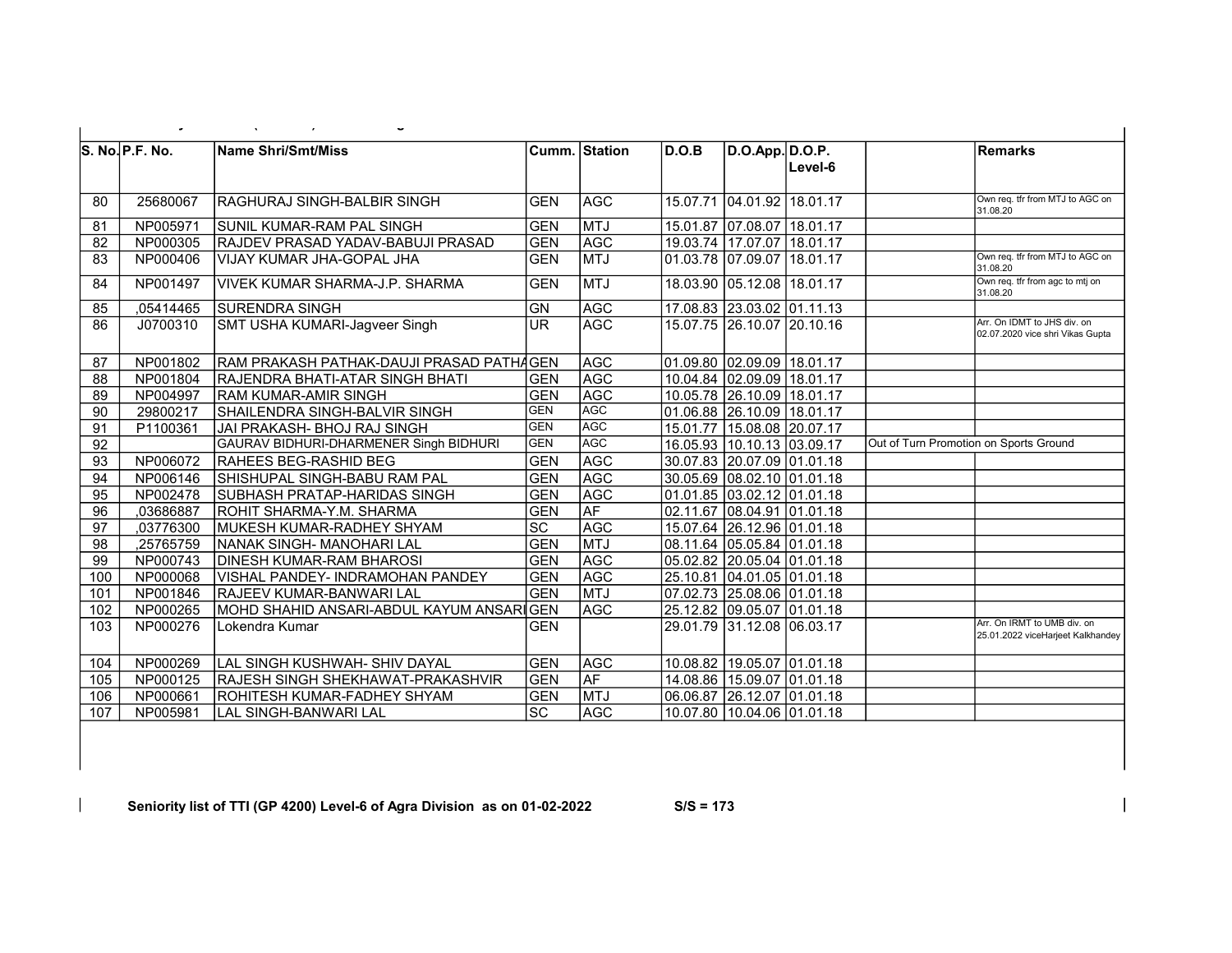|                 | S. No. P.F. No. | <b>Name Shri/Smt/Miss</b>                |                   | Cumm.  Station_ | D.O.B | D.O.App.D.O.P.             | Level-6                    |                                        | Remarks                                                          |
|-----------------|-----------------|------------------------------------------|-------------------|-----------------|-------|----------------------------|----------------------------|----------------------------------------|------------------------------------------------------------------|
| 80              | 25680067        | RAGHURAJ SINGH-BALBIR SINGH              | GEN               | <b>AGC</b>      |       |                            | 15.07.71 04.01.92 18.01.17 |                                        | Own reg. tfr from MTJ to AGC on<br>31.08.20                      |
| 81              | NP005971        | SUNIL KUMAR-RAM PAL SINGH                | GEN               | <b>MTJ</b>      |       |                            | 15.01.87 07.08.07 18.01.17 |                                        |                                                                  |
| 82              | NP000305        | RAJDEV PRASAD YADAV-BABUJI PRASAD        | GEN               | <b>AGC</b>      |       |                            | 19.03.74 17.07.07 18.01.17 |                                        |                                                                  |
| 83              | NP000406        | VIJAY KUMAR JHA-GOPAL JHA                | <b>GEN</b>        | <b>MTJ</b>      |       |                            | 01.03.78 07.09.07 18.01.17 |                                        | Own req. tfr from MTJ to AGC on<br>31.08.20                      |
| 84              | NP001497        | <b>VIVEK KUMAR SHARMA-J.P. SHARMA</b>    | GEN               | <b>MTJ</b>      |       | 18.03.90 05.12.08 18.01.17 |                            |                                        | Own req. tfr from agc to mtj on<br>31.08.20                      |
| 85              | ,05414465       | SURENDRA SINGH                           | <b>GN</b>         | <b>AGC</b>      |       |                            | 17.08.83 23.03.02 01.11.13 |                                        |                                                                  |
| 86              | J0700310        | SMT USHA KUMARI-Jagveer Singh            | <b>UR</b>         | <b>AGC</b>      |       |                            | 15.07.75 26.10.07 20.10.16 |                                        | Arr. On IDMT to JHS div. on<br>02.07.2020 vice shri Vikas Gupta  |
| 87              | NP001802        | RAM PRAKASH PATHAK-DAUJI PRASAD PATHAGEN |                   | <b>AGC</b>      |       |                            | 01.09.80 02.09.09 18.01.17 |                                        |                                                                  |
| 88              | NP001804        | RAJENDRA BHATI-ATAR SINGH BHATI          | GEN               | <b>AGC</b>      |       |                            | 10.04.84 02.09.09 18.01.17 |                                        |                                                                  |
| 89              | NP004997        | <b>RAM KUMAR-AMIR SINGH</b>              | <b>GEN</b>        | <b>AGC</b>      |       | 10.05.78 26.10.09 18.01.17 |                            |                                        |                                                                  |
| 90              | 29800217        | SHAILENDRA SINGH-BALVIR SINGH            | <b>GEN</b>        | <b>AGC</b>      |       | 01.06.88 26.10.09 18.01.17 |                            |                                        |                                                                  |
| 91              | P1100361        | JAI PRAKASH- BHOJ RAJ SINGH              | <b>GEN</b>        | <b>AGC</b>      |       | 15.01.77 15.08.08 20.07.17 |                            |                                        |                                                                  |
| $\overline{92}$ |                 | GAURAV BIDHURI-DHARMENER Singh BIDHURI   | GEN               | <b>AGC</b>      |       | 16.05.93 10.10.13 03.09.17 |                            | Out of Turn Promotion on Sports Ground |                                                                  |
| 93              | NP006072        | RAHEES BEG-RASHID BEG                    | GEN               | <b>AGC</b>      |       |                            | 30.07.83 20.07.09 01.01.18 |                                        |                                                                  |
| 94              | NP006146        | SHISHUPAL SINGH-BABU RAM PAL             | GEN               | <b>AGC</b>      |       |                            | 30.05.69 08.02.10 01.01.18 |                                        |                                                                  |
| 95              | NP002478        | ISUBHASH PRATAP-HARIDAS SINGH            | GEN               | <b>AGC</b>      |       |                            | 01.01.85 03.02.12 01.01.18 |                                        |                                                                  |
| 96              | ,03686887       | ROHIT SHARMA-Y.M. SHARMA                 | GEN               | <b>AF</b>       |       |                            | 02.11.67 08.04.91 01.01.18 |                                        |                                                                  |
| 97              | ,03776300       | MUKESH KUMAR-RADHEY SHYAM                | $\overline{SC}$   | <b>AGC</b>      |       |                            | 15.07.64 26.12.96 01.01.18 |                                        |                                                                  |
| $\overline{98}$ | ,25765759       | NANAK SINGH- MANOHARI LAL                | <b>GEN</b>        | <b>MTJ</b>      |       |                            | 08.11.64 05.05.84 01.01.18 |                                        |                                                                  |
| 99              | NP000743        | <b>DINESH KUMAR-RAM BHAROSI</b>          | GEN               | <b>AGC</b>      |       |                            | 05.02.82 20.05.04 01.01.18 |                                        |                                                                  |
| 100             | NP000068        | VISHAL PANDEY- INDRAMOHAN PANDEY         | GEN               | <b>AGC</b>      |       |                            | 25.10.81 04.01.05 01.01.18 |                                        |                                                                  |
| 101             | NP001846        | RAJEEV KUMAR-BANWARI LAL                 | GEN               | <b>MTJ</b>      |       |                            | 07.02.73 25.08.06 01.01.18 |                                        |                                                                  |
| 102             | NP000265        | MOHD SHAHID ANSARI-ABDUL KAYUM ANSARIGEN |                   | <b>AGC</b>      |       |                            | 25.12.82 09.05.07 01.01.18 |                                        |                                                                  |
| 103             | NP000276        | Lokendra Kumar                           | <b>GEN</b>        |                 |       |                            | 29.01.79 31.12.08 06.03.17 |                                        | Arr. On IRMT to UMB div. on<br>25.01.2022 viceHarjeet Kalkhandey |
| 104             | NP000269        | LAL SINGH KUSHWAH- SHIV DAYAL            | GEN               | <b>AGC</b>      |       |                            | 10.08.82 19.05.07 01.01.18 |                                        |                                                                  |
| 105             | NP000125        | RAJESH SINGH SHEKHAWAT-PRAKASHVIR        | <b>GEN</b>        | AF              |       |                            | 14.08.86 15.09.07 01.01.18 |                                        |                                                                  |
| 106             | NP000661        | ROHITESH KUMAR-FADHEY SHYAM              | <b>GEN</b>        | <b>MTJ</b>      |       |                            | 06.06.87 26.12.07 01.01.18 |                                        |                                                                  |
| 107             | NP005981        | LAL SINGH-BANWARI LAL                    | $ \overline{SC} $ | <b>AGC</b>      |       | 10.07.80 10.04.06 01.01.18 |                            |                                        |                                                                  |

 $\mathbb{R}$  Seniority list of TTI (GP 4200) Level-7 of Agra Division as on  $\mathbb{R}$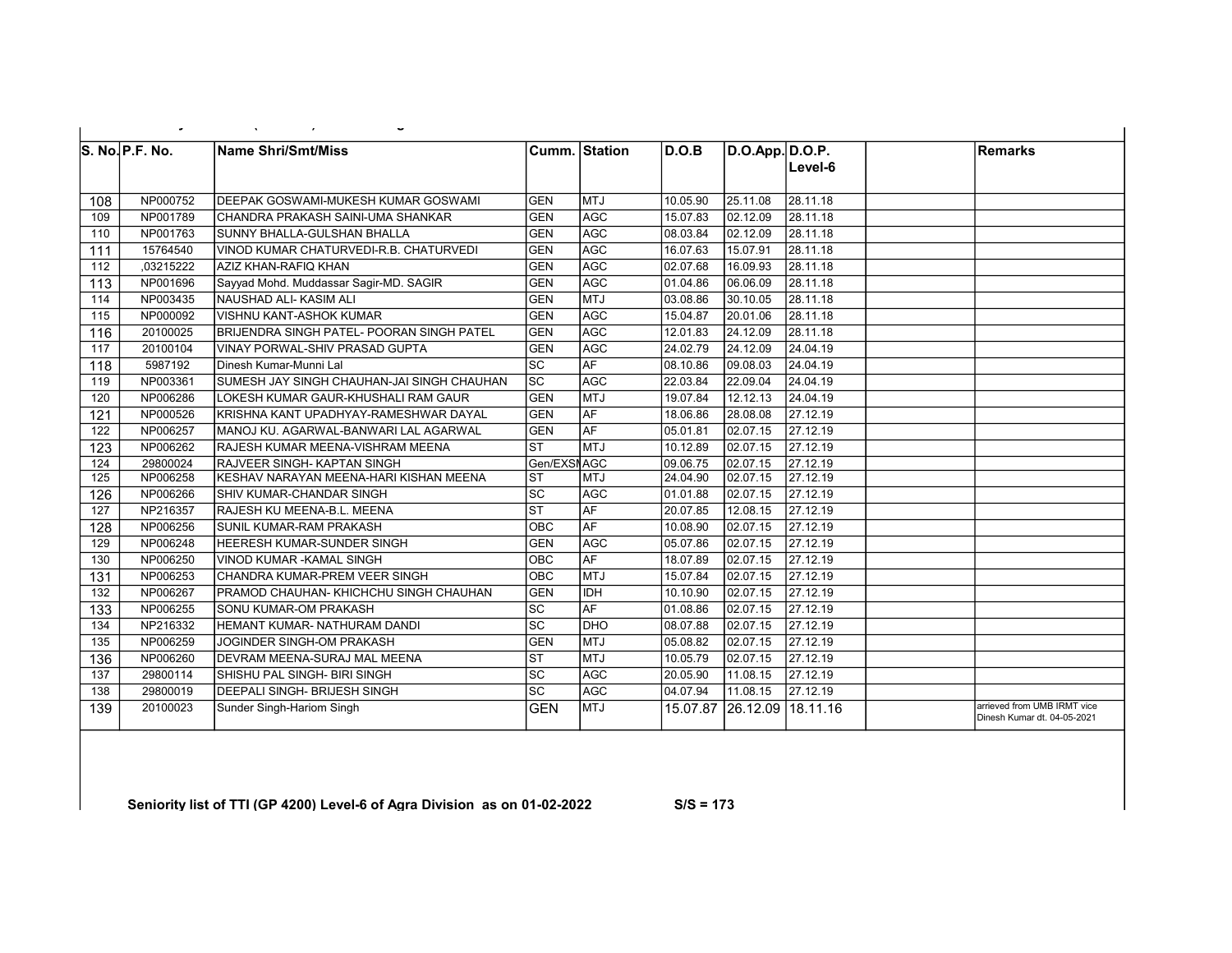|     | S. No. P.F. No. | <b>Name Shri/Smt/Miss</b>                    |                        | Cumm. Station | D.O.B    | D.O.App. D.O.P.     | Level-6  | Remarks                                                    |
|-----|-----------------|----------------------------------------------|------------------------|---------------|----------|---------------------|----------|------------------------------------------------------------|
| 108 | NP000752        | IDEEPAK GOSWAMI-MUKESH KUMAR GOSWAMI         | <b>GEN</b>             | lmtu          | 10.05.90 | 25.11.08            | 28.11.18 |                                                            |
| 109 | NP001789        | ICHANDRA PRAKASH SAINI-UMA SHANKAR           | <b>GEN</b>             | <b>AGC</b>    | 15.07.83 | 02.12.09            | 28.11.18 |                                                            |
| 110 | NP001763        | <b>SUNNY BHALLA-GULSHAN BHALLA</b>           | <b>GEN</b>             | <b>AGC</b>    | 08.03.84 | 02.12.09            | 28.11.18 |                                                            |
| 111 | 15764540        | VINOD KUMAR CHATURVEDI-R.B. CHATURVEDI       | <b>GEN</b>             | AGC           | 16.07.63 | 15.07.91            | 28.11.18 |                                                            |
| 112 | ,03215222       | AZIZ KHAN-RAFIQ KHAN                         | <b>GEN</b>             | AGC           | 02.07.68 | 16.09.93            | 28.11.18 |                                                            |
| 113 | NP001696        | Sayyad Mohd. Muddassar Sagir-MD. SAGIR       | <b>GEN</b>             | <b>AGC</b>    | 01.04.86 | 06.06.09            | 28.11.18 |                                                            |
| 114 | NP003435        | <b>NAUSHAD ALI-KASIM ALI</b>                 | <b>GEN</b>             | <b>MTJ</b>    | 03.08.86 | 30.10.05            | 28.11.18 |                                                            |
| 115 | NP000092        | <b>VISHNU KANT-ASHOK KUMAR</b>               | <b>GEN</b>             | <b>AGC</b>    | 15.04.87 | 20.01.06            | 28.11.18 |                                                            |
| 116 | 20100025        | BRIJENDRA SINGH PATEL- POORAN SINGH PATEL    | <b>GEN</b>             | <b>AGC</b>    | 12.01.83 | 24.12.09            | 28.11.18 |                                                            |
| 117 | 20100104        | <b>IVINAY PORWAL-SHIV PRASAD GUPTA</b>       | <b>GEN</b>             | <b>AGC</b>    | 24.02.79 | 24.12.09            | 24.04.19 |                                                            |
| 118 | 5987192         | İDinesh Kumar-Munni Lal                      | <b>SC</b>              | <b>AF</b>     | 08.10.86 | 109.08.03           | 24.04.19 |                                                            |
| 119 | NP003361        | SUMESH JAY SINGH CHAUHAN-JAI SINGH CHAUHAN   | SC                     | <b>AGC</b>    | 22.03.84 | 22.09.04            | 24.04.19 |                                                            |
| 120 | NP006286        | LOKESH KUMAR GAUR-KHUSHALI RAM GAUR          | <b>GEN</b>             | <b>MTJ</b>    | 19.07.84 | 12.12.13            | 24.04.19 |                                                            |
| 121 | NP000526        | KRISHNA KANT UPADHYAY-RAMESHWAR DAYAL        | <b>GEN</b>             | <b>AF</b>     | 18.06.86 | 28.08.08            | 27.12.19 |                                                            |
| 122 | NP006257        | İMANOJ KU. AGARWAL-BANWARI LAL AGARWAL       | <b>GEN</b>             | <b>AF</b>     | 05.01.81 | 02.07.15            | 27.12.19 |                                                            |
| 123 | NP006262        | <b>RAJESH KUMAR MEENA-VISHRAM MEENA</b>      | <b>ST</b>              | <b>MTJ</b>    | 10.12.89 | 02.07.15            | 27.12.19 |                                                            |
| 124 | 29800024        | RAJVEER SINGH- KAPTAN SINGH                  | Gen/EXSNAGC            |               | 09.06.75 | 02.07.15            | 27.12.19 |                                                            |
| 125 | NP006258        | IKESHAV NARAYAN MEENA-HARI KISHAN MEENA      | <b>ST</b>              | <b>MTJ</b>    | 24.04.90 | 02.07.15            | 27.12.19 |                                                            |
| 126 | NP006266        | <b>ISHIV KUMAR-CHANDAR SINGH</b>             | SC                     | <b>AGC</b>    | 01.01.88 | 02.07.15            | 27.12.19 |                                                            |
| 127 | NP216357        | RAJESH KU MEENA-B.L. MEENA                   | $\overline{\text{ST}}$ | <b>AF</b>     | 20.07.85 | 12.08.15            | 27.12.19 |                                                            |
| 128 | NP006256        | <b>ISUNIL KUMAR-RAM PRAKASH</b>              | OBC                    | <b>AF</b>     | 10.08.90 | 02.07.15            | 27.12.19 |                                                            |
| 129 | NP006248        | <b>HEERESH KUMAR-SUNDER SINGH</b>            | <b>GEN</b>             | lagc          | 05.07.86 | 02.07.15            | 27.12.19 |                                                            |
| 130 | NP006250        | VINOD KUMAR - KAMAL SINGH                    | $\overline{OBC}$       | AF            | 18.07.89 | 02.07.15            | 27.12.19 |                                                            |
| 131 | NP006253        | İCHANDRA KUMAR-PREM VEER SINGH               | OBC                    | <b>MTJ</b>    | 15.07.84 | 02.07.15            | 27.12.19 |                                                            |
| 132 | NP006267        | <b>PRAMOD CHAUHAN-KHICHCHU SINGH CHAUHAN</b> | <b>GEN</b>             | <b>IDH</b>    | 10.10.90 | 02.07.15            | 27.12.19 |                                                            |
| 133 | NP006255        | İSONU KUMAR-OM PRAKASH                       | $\overline{SC}$        | AF            | 01.08.86 | 02.07.15            | 27.12.19 |                                                            |
| 134 | NP216332        | HEMANT KUMAR-NATHURAM DANDI                  | $\overline{SC}$        | <b>DHO</b>    | 08.07.88 | 02.07.15            | 27.12.19 |                                                            |
| 135 | NP006259        | IJOGINDER SINGH-OM PRAKASH                   | <b>GEN</b>             | <b>IMTJ</b>   | 05.08.82 | 02.07.15            | 27.12.19 |                                                            |
| 136 | NP006260        | <b>IDEVRAM MEENA-SURAJ MAL MEENA</b>         | <b>ST</b>              | <b>MTJ</b>    | 10.05.79 | 02.07.15            | 27.12.19 |                                                            |
| 137 | 29800114        | İSHISHU PAL SINGH- BIRI SINGH                | <b>SC</b>              | AGC           | 20.05.90 | 11.08.15            | 27.12.19 |                                                            |
| 138 | 29800019        | IDEEPALI SINGH- BRIJESH SINGH                | SC                     | AGC           | 04.07.94 | 11.08.15            | 27.12.19 |                                                            |
| 139 | 20100023        | Sunder Singh-Hariom Singh                    | <b>GEN</b>             | <b>MTJ</b>    | 15.07.87 | 26.12.09   18.11.16 |          | arrieved from UMB IRMT vice<br>Dinesh Kumar dt. 04-05-2021 |

 $\mathbb{R}$  Seniority list of Agra Division as on  $\mathbb{R}$  as on  $\mathbb{R}$   $\mathbb{R}$  = 173-2022 S/S  $\mathbb{R}$  = 173-2022 S/S  $\mathbb{R}$  = 173-2022 S/S  $\mathbb{R}$  = 173-2022 S/S  $\mathbb{R}$  = 173-2022 S/S  $\mathbb{R}$  = 173-2022 S/S  $\mathbb{R$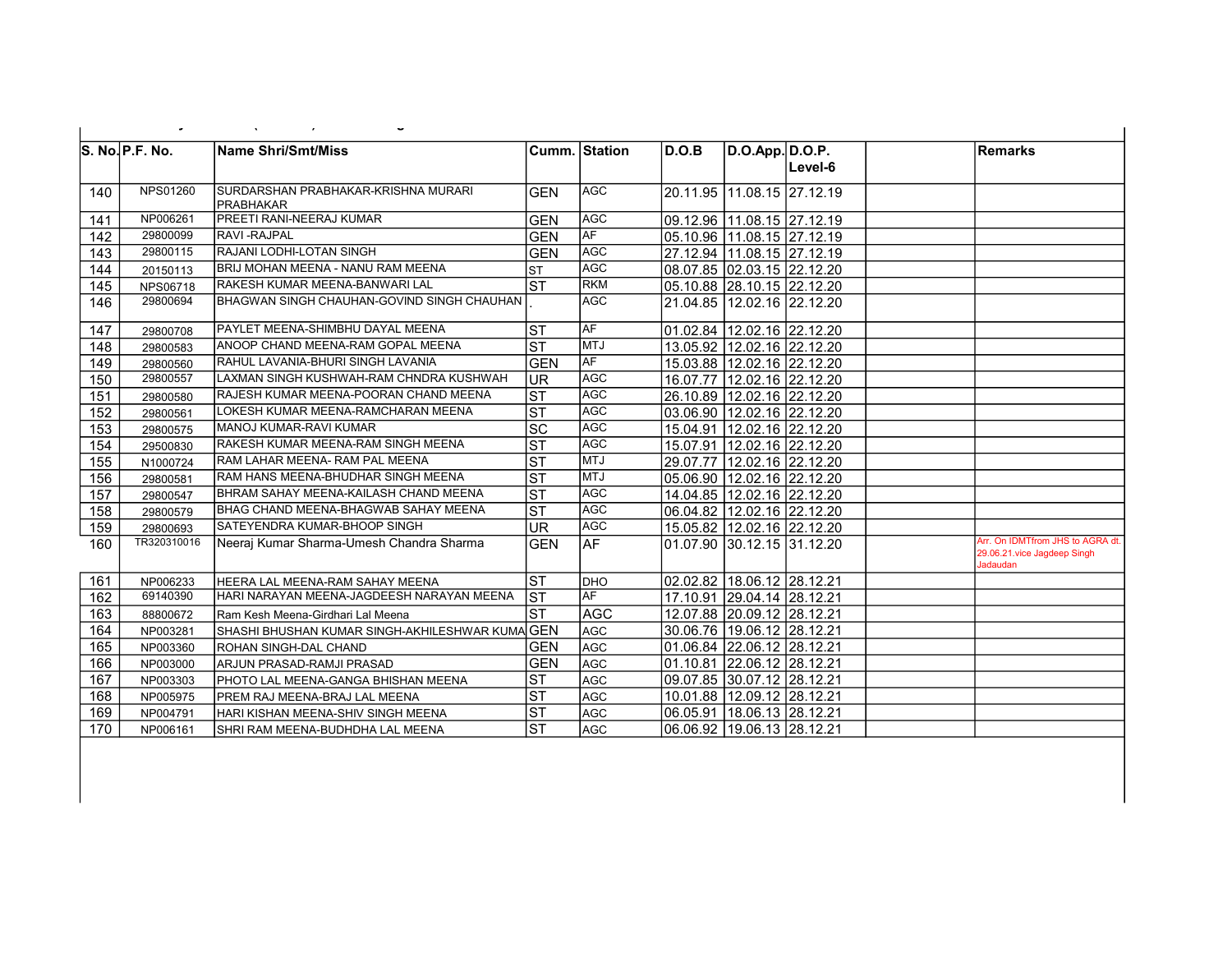|     | ٠               |                                                   |                        |               |       |                                |         |                                                                             |
|-----|-----------------|---------------------------------------------------|------------------------|---------------|-------|--------------------------------|---------|-----------------------------------------------------------------------------|
|     | S. No. P.F. No. | <b>Name Shri/Smt/Miss</b>                         |                        | Cumm. Station | D.O.B | D.O.App. D.O.P.                | Level-6 | Remarks                                                                     |
| 140 | NPS01260        | İSURDARSHAN PRABHAKAR-KRISHNA MURARI<br>PRABHAKAR | <b>GEN</b>             | <b>AGC</b>    |       | 20.11.95 11.08.15 27.12.19     |         |                                                                             |
| 141 | NP006261        | <b>PREETI RANI-NEERAJ KUMAR</b>                   | <b>GEN</b>             | <b>AGC</b>    |       | 09.12.96 11.08.15 27.12.19     |         |                                                                             |
| 142 | 29800099        | <b>RAVI-RAJPAL</b>                                | <b>GEN</b>             | <b>AF</b>     |       | 05.10.96 11.08.15 27.12.19     |         |                                                                             |
| 143 | 29800115        | RAJANI LODHI-LOTAN SINGH                          | <b>GEN</b>             | <b>AGC</b>    |       | 27.12.94 11.08.15 27.12.19     |         |                                                                             |
| 144 | 20150113        | BRIJ MOHAN MEENA - NANU RAM MEENA                 | <b>ST</b>              | <b>AGC</b>    |       | 08.07.85 02.03.15 22.12.20     |         |                                                                             |
| 145 | NPS06718        | <b>RAKESH KUMAR MEENA-BANWARI LAL</b>             | <b>ST</b>              | <b>RKM</b>    |       | 05.10.88 28.10.15 22.12.20     |         |                                                                             |
| 146 | 29800694        | BHAGWAN SINGH CHAUHAN-GOVIND SINGH CHAUHAN        |                        | <b>AGC</b>    |       | 21.04.85 12.02.16 22.12.20     |         |                                                                             |
| 147 | 29800708        | <b>PAYLET MEENA-SHIMBHU DAYAL MEENA</b>           | <b>ST</b>              | AF            |       | 01.02.84 12.02.16 22.12.20     |         |                                                                             |
| 148 | 29800583        | ANOOP CHAND MEENA-RAM GOPAL MEENA                 | <b>ST</b>              | <b>MTJ</b>    |       | 13.05.92 12.02.16 22.12.20     |         |                                                                             |
| 149 | 29800560        | RAHUL LAVANIA-BHURI SINGH LAVANIA                 | <b>GEN</b>             | <b>AF</b>     |       | 15.03.88   12.02.16   22.12.20 |         |                                                                             |
| 150 | 29800557        | LAXMAN SINGH KUSHWAH-RAM CHNDRA KUSHWAH           | <b>UR</b>              | AGC           |       | 16.07.77 12.02.16 22.12.20     |         |                                                                             |
| 151 | 29800580        | RAJESH KUMAR MEENA-POORAN CHAND MEENA             | $\overline{\text{ST}}$ | <b>AGC</b>    |       | 26.10.89 12.02.16 22.12.20     |         |                                                                             |
| 152 | 29800561        | LOKESH KUMAR MEENA-RAMCHARAN MEENA                | ST                     | <b>AGC</b>    |       | 03.06.90 12.02.16 22.12.20     |         |                                                                             |
| 153 | 29800575        | MANOJ KUMAR-RAVI KUMAR                            | $\overline{SC}$        | <b>AGC</b>    |       | 15.04.91 12.02.16 22.12.20     |         |                                                                             |
| 154 | 29500830        | <b>RAKESH KUMAR MEENA-RAM SINGH MEENA</b>         | <b>ST</b>              | <b>AGC</b>    |       | 15.07.91 12.02.16 22.12.20     |         |                                                                             |
| 155 | N1000724        | RAM LAHAR MEENA-RAM PAL MEENA                     | $\overline{\text{ST}}$ | <b>MTJ</b>    |       | 29.07.77 12.02.16 22.12.20     |         |                                                                             |
| 156 | 29800581        | RAM HANS MEENA-BHUDHAR SINGH MEENA                | ST                     | <b>MTJ</b>    |       | 05.06.90 12.02.16 22.12.20     |         |                                                                             |
| 157 | 29800547        | BHRAM SAHAY MEENA-KAILASH CHAND MEENA             | $\overline{\text{ST}}$ | <b>AGC</b>    |       | 14.04.85 12.02.16 22.12.20     |         |                                                                             |
| 158 | 29800579        | BHAG CHAND MEENA-BHAGWAB SAHAY MEENA              | <b>ST</b>              | <b>AGC</b>    |       | 06.04.82 12.02.16 22.12.20     |         |                                                                             |
| 159 | 29800693        | İSATEYENDRA KUMAR-BHOOP SINGH                     | <b>UR</b>              | <b>AGC</b>    |       | 15.05.82 12.02.16 22.12.20     |         |                                                                             |
| 160 | TR320310016     | Neeraj Kumar Sharma-Umesh Chandra Sharma          | <b>GEN</b>             | AF            |       | l01.07.90 l30.12.15 l31.12.20  |         | Arr. On IDMTfrom JHS to AGRA dt.<br>29.06.21.vice Jagdeep Singh<br>Jadaudan |
| 161 | NP006233        | HEERA LAL MEENA-RAM SAHAY MEENA                   | <b>ST</b>              | <b>DHO</b>    |       |                                |         |                                                                             |
| 162 | 69140390        | HARI NARAYAN MEENA-JAGDEESH NARAYAN MEENA         | $\overline{\text{ST}}$ | <b>AF</b>     |       | 17.10.91 29.04.14 28.12.21     |         |                                                                             |
| 163 | 88800672        | Ram Kesh Meena-Girdhari Lal Meena                 | <b>ST</b>              | <b>AGC</b>    |       | 12.07.88 20.09.12 28.12.21     |         |                                                                             |
| 164 | NP003281        | SHASHI BHUSHAN KUMAR SINGH-AKHILESHWAR KUMA GEN   |                        | AGC           |       | 30.06.76   19.06.12   28.12.21 |         |                                                                             |
| 165 | NP003360        | IROHAN SINGH-DAL CHAND                            | <b>GEN</b>             | AGC           |       | 01.06.84 22.06.12 28.12.21     |         |                                                                             |
| 166 | NP003000        | ARJUN PRASAD-RAMJI PRASAD                         | <b>GEN</b>             | AGC           |       | 01.10.81 22.06.12 28.12.21     |         |                                                                             |
| 167 | NP003303        | PHOTO LAL MEENA-GANGA BHISHAN MEENA               | <b>ST</b>              | AGC           |       | 09.07.85 30.07.12 28.12.21     |         |                                                                             |
| 168 | NP005975        | IPREM RAJ MEENA-BRAJ LAL MEENA                    | $\overline{\text{ST}}$ | <b>AGC</b>    |       | 10.01.88 12.09.12 28.12.21     |         |                                                                             |
| 169 | NP004791        | HARI KISHAN MEENA-SHIV SINGH MEENA                | <b>ST</b>              | <b>AGC</b>    |       | 06.05.91 18.06.13 28.12.21     |         |                                                                             |
| 170 | NP006161        | SHRI RAM MEENA-BUDHDHA LAL MEENA                  | $\overline{\text{ST}}$ | <b>AGC</b>    |       | 06.06.92 19.06.13 28.12.21     |         |                                                                             |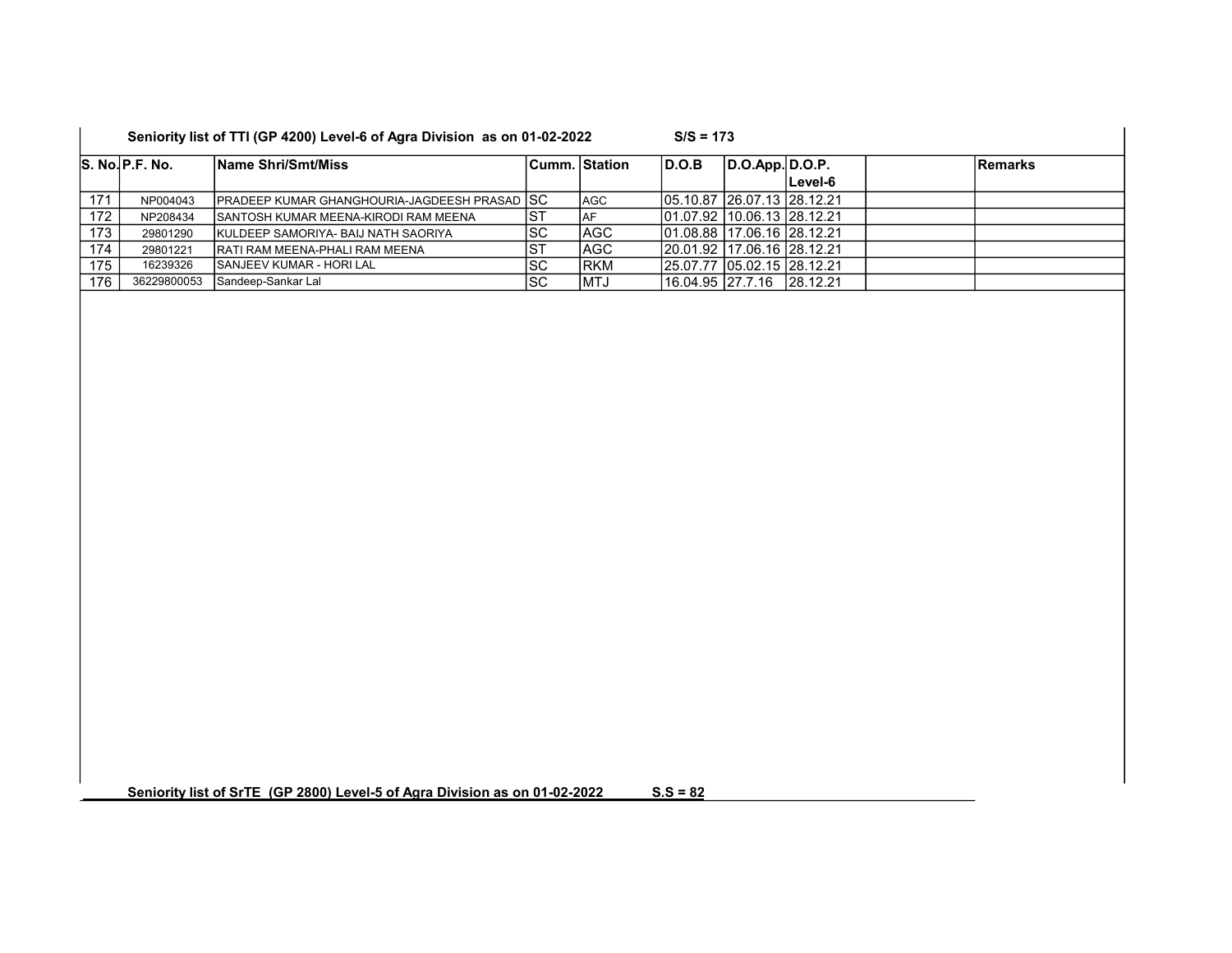|     | S. No. P.F. No. | Name Shri/Smt/Miss                                    |           | Cumm.   Station_ | D.O.B                       | D.O.App. D.O.P. |         | <b>Remarks</b> |
|-----|-----------------|-------------------------------------------------------|-----------|------------------|-----------------------------|-----------------|---------|----------------|
|     |                 |                                                       |           |                  |                             |                 | Level-6 |                |
| 171 | NP004043        | <b>IPRADEEP KUMAR GHANGHOURIA-JAGDEESH PRASAD ISC</b> |           | <b>AGC</b>       | 105.10.87 26.07.13 28.12.21 |                 |         |                |
| 172 | NP208434        | <b>ISANTOSH KUMAR MEENA-KIRODI RAM MEENA</b>          | <b>ST</b> | IAF              | 101.07.92 10.06.13 28.12.21 |                 |         |                |
| 173 | 29801290        | IKULDEEP SAMORIYA- BAIJ NATH SAORIYA                  | ISC       | AGC              | 01.08.88 17.06.16 28.12.21  |                 |         |                |
| 174 | 29801221        | <b>IRATI RAM MEENA-PHALI RAM MEENA</b>                | IST       | <b>AGC</b>       | 20.01.92 17.06.16 28.12.21  |                 |         |                |
| 175 | 16239326        | <b>ISANJEEV KUMAR - HORI LAL</b>                      | ISC       | <b>IRKM</b>      | 25.07.77 05.02.15 28.12.21  |                 |         |                |
| 176 | 36229800053     | Sandeep-Sankar Lal                                    | lsc       | IMTJ             | 16.04.95  27.7.16  28.12.21 |                 |         |                |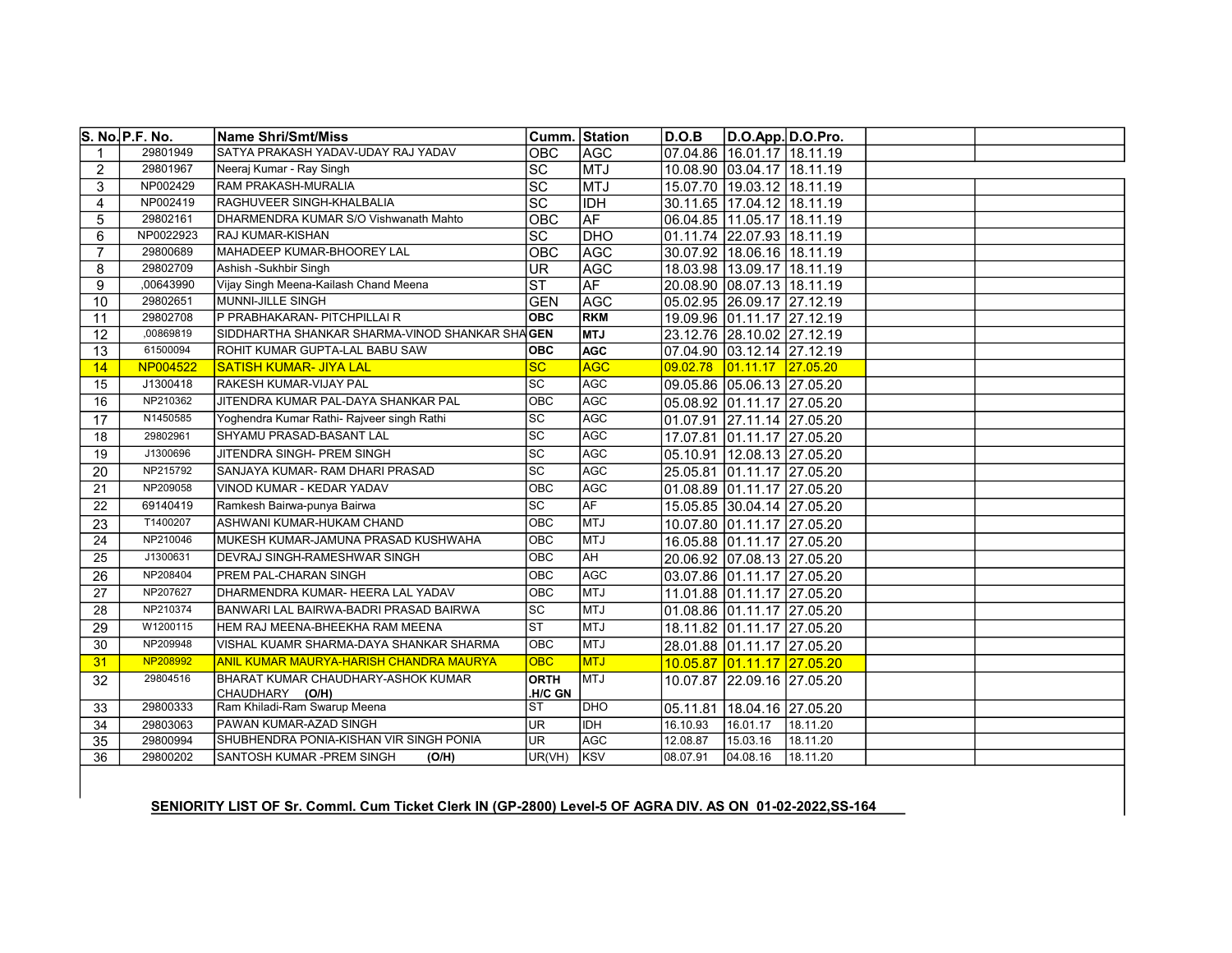|                | S. No. P.F. No. | <b>Name Shri/Smt/Miss</b>                      | Cumm. Station   |             | D.O.B    | D.O.App. D.O.Pro.              |          |  |
|----------------|-----------------|------------------------------------------------|-----------------|-------------|----------|--------------------------------|----------|--|
|                | 29801949        | SATYA PRAKASH YADAV-UDAY RAJ YADAV             | OBC             | AGC         |          | 07.04.86 16.01.17 18.11.19     |          |  |
| 2              | 29801967        | Neeraj Kumar - Ray Singh                       | <b>SC</b>       | MTJ         |          | 10.08.90 03.04.17 18.11.19     |          |  |
| 3              | NP002429        | <b>RAM PRAKASH-MURALIA</b>                     | SC              | <b>MTJ</b>  |          | 15.07.70   19.03.12   18.11.19 |          |  |
| $\overline{4}$ | NP002419        | RAGHUVEER SINGH-KHALBALIA                      | $\overline{SC}$ | <b>IDH</b>  |          | 30.11.65 17.04.12 18.11.19     |          |  |
| 5              | 29802161        | DHARMENDRA KUMAR S/O Vishwanath Mahto          | OBC             | <b>AF</b>   |          | 06.04.85   11.05.17   18.11.19 |          |  |
| 6              | NP0022923       | <b>RAJ KUMAR-KISHAN</b>                        | $\overline{SC}$ | <b>DHO</b>  |          | 01.11.74 22.07.93 18.11.19     |          |  |
| $\overline{7}$ | 29800689        | MAHADEEP KUMAR-BHOOREY LAL                     | OBC             | AGC         |          | 30.07.92 18.06.16 18.11.19     |          |  |
| 8              | 29802709        | Ashish -Sukhbir Singh                          | <b>UR</b>       | <b>AGC</b>  |          | 18.03.98 13.09.17 18.11.19     |          |  |
| 9              | ,00643990       | Vijay Singh Meena-Kailash Chand Meena          | <b>ST</b>       | <b>AF</b>   |          | 20.08.90 08.07.13 18.11.19     |          |  |
| 10             | 29802651        | MUNNI-JILLE SINGH                              | <b>GEN</b>      | AGC         |          | 05.02.95 26.09.17 27.12.19     |          |  |
| 11             | 29802708        | P PRABHAKARAN- PITCHPILLAI R                   | <b>OBC</b>      | <b>RKM</b>  |          | 19.09.96 01.11.17 27.12.19     |          |  |
| 12             | ,00869819       | SIDDHARTHA SHANKAR SHARMA-VINOD SHANKAR SHAGEN |                 | <b>LTM</b>  |          | 23.12.76 28.10.02 27.12.19     |          |  |
| 13             | 61500094        | ROHIT KUMAR GUPTA-LAL BABU SAW                 | <b>OBC</b>      | <b>AGC</b>  |          | 07.04.90 03.12.14 27.12.19     |          |  |
| 14             | NP004522        | <b>SATISH KUMAR- JIYA LAL</b>                  | <b>SC</b>       | <b>AGC</b>  | 09.02.78 |                                |          |  |
| 15             | J1300418        | RAKESH KUMAR-VIJAY PAL                         | <b>SC</b>       | <b>AGC</b>  |          | 09.05.86 05.06.13 27.05.20     |          |  |
| 16             | NP210362        | JITENDRA KUMAR PAL-DAYA SHANKAR PAL            | OBC             | <b>AGC</b>  |          | 05.08.92 01.11.17 27.05.20     |          |  |
| 17             | N1450585        | Yoghendra Kumar Rathi- Rajveer singh Rathi     | <b>SC</b>       | AGC         |          | 01.07.91 27.11.14 27.05.20     |          |  |
| 18             | 29802961        | SHYAMU PRASAD-BASANT LAL                       | SC              | AGC         |          | 17.07.81 01.11.17 27.05.20     |          |  |
| 19             | J1300696        | JITENDRA SINGH- PREM SINGH                     | SC              | AGC         |          | 05.10.91   12.08.13   27.05.20 |          |  |
| 20             | NP215792        | SANJAYA KUMAR-RAM DHARI PRASAD                 | $\overline{SC}$ | <b>AGC</b>  |          | 25.05.81 01.11.17 27.05.20     |          |  |
| 21             | NP209058        | VINOD KUMAR - KEDAR YADAV                      | OBC             | AGC         |          | 01.08.89 01.11.17 27.05.20     |          |  |
| 22             | 69140419        | Ramkesh Bairwa-punya Bairwa                    | <b>SC</b>       | AF          |          | 15.05.85 30.04.14 27.05.20     |          |  |
| 23             | T1400207        | ASHWANI KUMAR-HUKAM CHAND                      | OBC             | MTJ         |          | 10.07.80 01.11.17 27.05.20     |          |  |
| 24             | NP210046        | MUKESH KUMAR-JAMUNA PRASAD KUSHWAHA            | OBC             | MTJ         |          | 16.05.88 01.11.17 27.05.20     |          |  |
| 25             | J1300631        | <b>DEVRAJ SINGH-RAMESHWAR SINGH</b>            | OBC             | l AH        |          | 20.06.92 07.08.13 27.05.20     |          |  |
| 26             | NP208404        | <b>PREM PAL-CHARAN SINGH</b>                   | <b>OBC</b>      | <b>AGC</b>  |          | 03.07.86 01.11.17 27.05.20     |          |  |
| 27             | NP207627        | DHARMENDRA KUMAR- HEERA LAL YADAV              | OBC             | <b>MTJ</b>  |          | 11.01.88 01.11.17 27.05.20     |          |  |
| 28             | NP210374        | BANWARI LAL BAIRWA-BADRI PRASAD BAIRWA         | <b>SC</b>       | MTJ         |          | 01.08.86 01.11.17 27.05.20     |          |  |
| 29             | W1200115        | IHEM RAJ MEENA-BHEEKHA RAM MEENA               | lst             | <b>IMTJ</b> |          | 18.11.82 01.11.17 27.05.20     |          |  |
| 30             | NP209948        | VISHAL KUAMR SHARMA-DAYA SHANKAR SHARMA        | OBC             | <b>MTJ</b>  |          | 28.01.88 01.11.17 27.05.20     |          |  |
| 31             | NP208992        | ANIL KUMAR MAURYA-HARISH CHANDRA MAURYA        | <b>OBC</b>      | <b>MTJ</b>  |          | 10.05.87 01.11.17 27.05.20     |          |  |
| 32             | 29804516        | BHARAT KUMAR CHAUDHARY-ASHOK KUMAR             | <b>ORTH</b>     | <b>MTJ</b>  |          | 10.07.87 22.09.16 27.05.20     |          |  |
|                |                 | CHAUDHARY (O/H)                                | .H/C GN         |             |          |                                |          |  |
| 33             | 29800333        | Ram Khiladi-Ram Swarup Meena                   | <b>ST</b>       | <b>DHO</b>  | 05.11.81 | 18.04.16 27.05.20              |          |  |
| 34             | 29803063        | <b>PAWAN KUMAR-AZAD SINGH</b>                  | <b>UR</b>       | <b>IDH</b>  | 16.10.93 | 16.01.17                       | 18.11.20 |  |
| 35             | 29800994        | SHUBHENDRA PONIA-KISHAN VIR SINGH PONIA        | UR              | AGC         | 12.08.87 | 15.03.16                       | 18.11.20 |  |
| 36             | 29800202        | <b>SANTOSH KUMAR - PREM SINGH</b><br>(O/H)     | UR(VH)          | KSV         | 08.07.91 | [04.08.16]                     | 18.11.20 |  |

### SENIORITY LIST OF Sr. Comml. Cum Ticket Clerk IN (GP-2800) Level-5 OF AGRA DIV. AS ON 01-02-2022,SS-164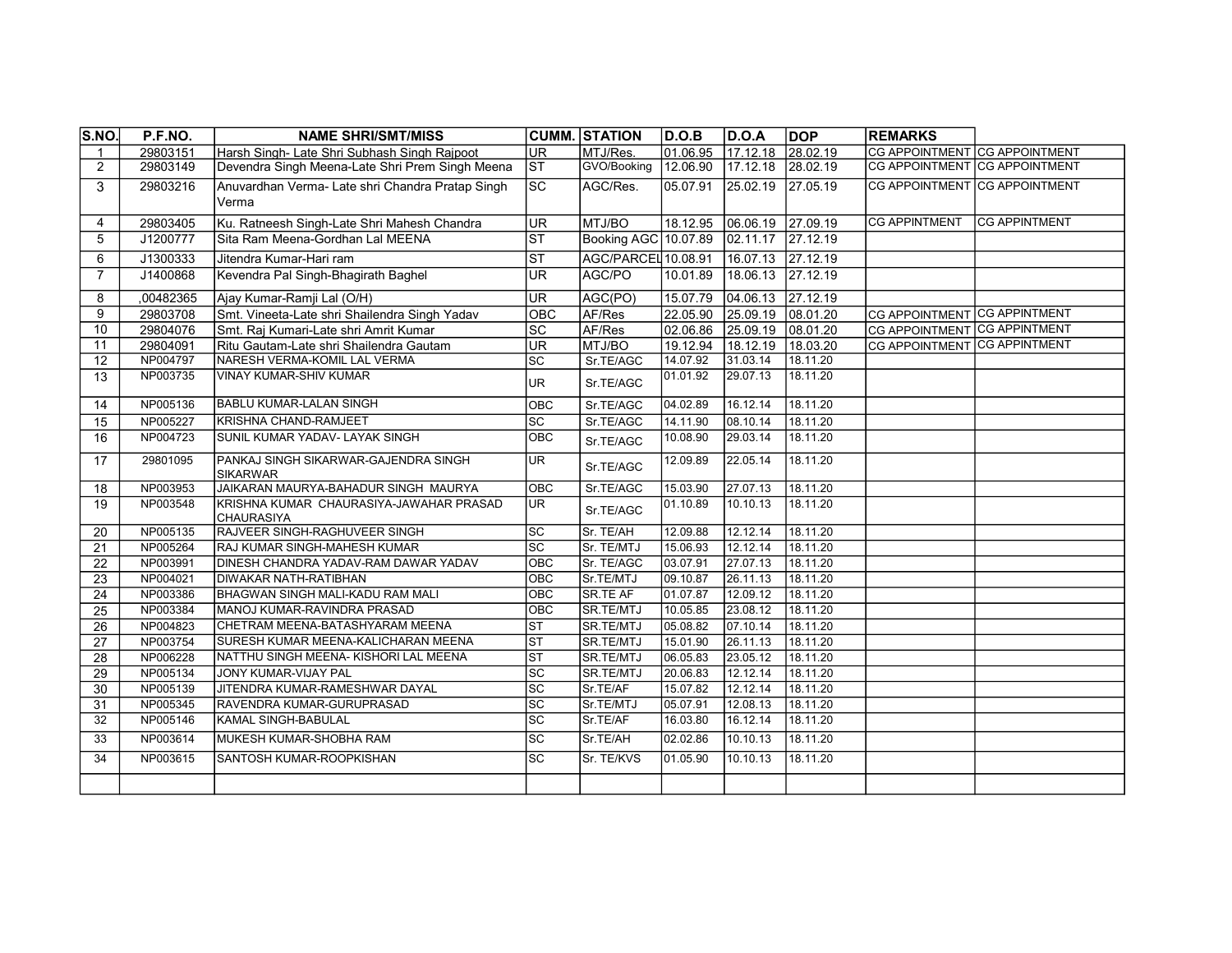| <b>S.NO.</b>    | P.F.NO.   | <b>NAME SHRI/SMT/MISS</b>                                    |                          | <b>CUMM. STATION</b> | D.O.B    | D.O.A              | <b>DOP</b> | <b>REMARKS</b>                |                      |
|-----------------|-----------|--------------------------------------------------------------|--------------------------|----------------------|----------|--------------------|------------|-------------------------------|----------------------|
| -1              | 29803151  | Harsh Singh- Late Shri Subhash Singh Rajpoot                 | <b>UR</b>                | MTJ/Res.             | 01.06.95 | 17.12.18           | 28.02.19   | CG APPOINTMENT CG APPOINTMENT |                      |
| $\overline{2}$  | 29803149  | Devendra Singh Meena-Late Shri Prem Singh Meena              | IST                      | GVO/Booking          | 12.06.90 | 17.12.18           | 28.02.19   | CG APPOINTMENT CG APPOINTMENT |                      |
| 3               | 29803216  | Anuvardhan Verma- Late shri Chandra Pratap Singh<br>Verma    | <b>SC</b>                | AGC/Res.             | 05.07.91 | 25.02.19           | 27.05.19   | CG APPOINTMENT CG APPOINTMENT |                      |
| 4               | 29803405  | Ku. Ratneesh Singh-Late Shri Mahesh Chandra                  | UR.                      | MTJ/BO               | 18.12.95 | 06.06.19           | 27.09.19   | <b>CG APPINTMENT</b>          | <b>CG APPINTMENT</b> |
| 5               | J1200777  | Sita Ram Meena-Gordhan Lal MEENA                             | $ \overline{\text{ST}} $ | Booking AGC 10.07.89 |          | 02.11.17           | 27.12.19   |                               |                      |
| 6               | J1300333  | Jitendra Kumar-Hari ram                                      | $\overline{\text{ST}}$   | AGC/PARCEL 10.08.91  |          | 16.07.13           | 27.12.19   |                               |                      |
| $\overline{7}$  | J1400868  | Kevendra Pal Singh-Bhagirath Baghel                          | UR.                      | AGC/PO               | 10.01.89 | 18.06.13           | 27.12.19   |                               |                      |
| 8               | ,00482365 | Ajay Kumar-Ramji Lal (O/H)                                   | <b>UR</b>                | AGC(PO)              | 15.07.79 | $ 04.06.13\rangle$ | 27.12.19   |                               |                      |
| 9               | 29803708  | Smt. Vineeta-Late shri Shailendra Singh Yadav                | OBC                      | AF/Res               | 22.05.90 | 25.09.19           | 08.01.20   | CG APPOINTMENT CG APPINTMENT  |                      |
| 10              | 29804076  | Smt. Raj Kumari-Late shri Amrit Kumar                        | $ \overline{sc} $        | AF/Res               | 02.06.86 | 25.09.19           | 08.01.20   | CG APPOINTMENT CG APPINTMENT  |                      |
| 11              | 29804091  | Ritu Gautam-Late shri Shailendra Gautam                      | <b>UR</b>                | MTJ/BO               | 19.12.94 | 18.12.19           | 18.03.20   | CG APPOINTMENT CG APPINTMENT  |                      |
| 12              | NP004797  | NARESH VERMA-KOMIL LAL VERMA                                 | <b>SC</b>                | Sr.TE/AGC            | 14.07.92 | 31.03.14           | 18.11.20   |                               |                      |
| 13              | NP003735  | <b>VINAY KUMAR-SHIV KUMAR</b>                                | UR                       | Sr.TE/AGC            | 01.01.92 | 29.07.13           | 18.11.20   |                               |                      |
| 14              | NP005136  | <b>BABLU KUMAR-LALAN SINGH</b>                               | OBC                      | Sr.TE/AGC            | 04.02.89 | 16.12.14           | 18.11.20   |                               |                      |
| 15              | NP005227  | KRISHNA CHAND-RAMJEET                                        | <b>SC</b>                | Sr.TE/AGC            | 14.11.90 | 08.10.14           | 18.11.20   |                               |                      |
| 16              | NP004723  | SUNIL KUMAR YADAV- LAYAK SINGH                               | OBC                      | Sr.TE/AGC            | 10.08.90 | 29.03.14           | 18.11.20   |                               |                      |
| 17              | 29801095  | PANKAJ SINGH SIKARWAR-GAJENDRA SINGH<br><b>SIKARWAR</b>      | UR                       | Sr.TE/AGC            | 12.09.89 | 22.05.14           | 18.11.20   |                               |                      |
| 18              | NP003953  | JAIKARAN MAURYA-BAHADUR SINGH MAURYA                         | OBC                      | Sr.TE/AGC            | 15.03.90 | 27.07.13           | 18.11.20   |                               |                      |
| 19              | NP003548  | KRISHNA KUMAR CHAURASIYA-JAWAHAR PRASAD<br><b>CHAURASIYA</b> | <b>UR</b>                | Sr.TE/AGC            | 01.10.89 | 10.10.13           | 18.11.20   |                               |                      |
| 20              | NP005135  | RAJVEER SINGH-RAGHUVEER SINGH                                | <b>SC</b>                | Sr. TE/AH            | 12.09.88 | 12.12.14           | 18.11.20   |                               |                      |
| 21              | NP005264  | RAJ KUMAR SINGH-MAHESH KUMAR                                 | SC                       | Sr. TE/MTJ           | 15.06.93 | 12.12.14           | 18.11.20   |                               |                      |
| 22              | NP003991  | DINESH CHANDRA YADAV-RAM DAWAR YADAV                         | <b>OBC</b>               | Sr. TE/AGC           | 03.07.91 | 27.07.13           | 18.11.20   |                               |                      |
| 23              | NP004021  | <b>DIWAKAR NATH-RATIBHAN</b>                                 | OBC                      | Sr.TE/MTJ            | 09.10.87 | 26.11.13           | 18.11.20   |                               |                      |
| 24              | NP003386  | <b>BHAGWAN SINGH MALI-KADU RAM MALI</b>                      | OBC                      | <b>SR.TE AF</b>      | 01.07.87 | 12.09.12           | 18.11.20   |                               |                      |
| 25              | NP003384  | MANOJ KUMAR-RAVINDRA PRASAD                                  | OBC                      | SR.TE/MTJ            | 10.05.85 | 23.08.12           | 18.11.20   |                               |                      |
| 26              | NP004823  | CHETRAM MEENA-BATASHYARAM MEENA                              | $\overline{\text{ST}}$   | SR.TE/MTJ            | 05.08.82 | 07.10.14           | 18.11.20   |                               |                      |
| 27              | NP003754  | SURESH KUMAR MEENA-KALICHARAN MEENA                          | <b>ST</b>                | SR.TE/MTJ            | 15.01.90 | 26.11.13           | 18.11.20   |                               |                      |
| 28              | NP006228  | NATTHU SINGH MEENA- KISHORI LAL MEENA                        | <b>ST</b>                | SR.TE/MTJ            | 06.05.83 | 23.05.12           | 18.11.20   |                               |                      |
| 29              | NP005134  | JONY KUMAR-VIJAY PAL                                         | <b>SC</b>                | SR.TE/MTJ            | 20.06.83 | 12.12.14           | 18.11.20   |                               |                      |
| 30              | NP005139  | JITENDRA KUMAR-RAMESHWAR DAYAL                               | <b>SC</b>                | Sr.TE/AF             | 15.07.82 | 12.12.14           | 18.11.20   |                               |                      |
| 31              | NP005345  | RAVENDRA KUMAR-GURUPRASAD                                    | SC                       | Sr.TE/MTJ            | 05.07.91 | 12.08.13           | 18.11.20   |                               |                      |
| $\overline{32}$ | NP005146  | KAMAL SINGH-BABULAL                                          | $\overline{\text{sc}}$   | Sr.TE/AF             | 16.03.80 | 16.12.14           | 18.11.20   |                               |                      |
| 33              | NP003614  | MUKESH KUMAR-SHOBHA RAM                                      | <b>SC</b>                | Sr.TE/AH             | 02.02.86 | 10.10.13           | 18.11.20   |                               |                      |
| 34              | NP003615  | SANTOSH KUMAR-ROOPKISHAN                                     | $ \mathrm{SC} $          | Sr. TE/KVS           | 01.05.90 | 10.10.13           | 18.11.20   |                               |                      |
|                 |           |                                                              |                          |                      |          |                    |            |                               |                      |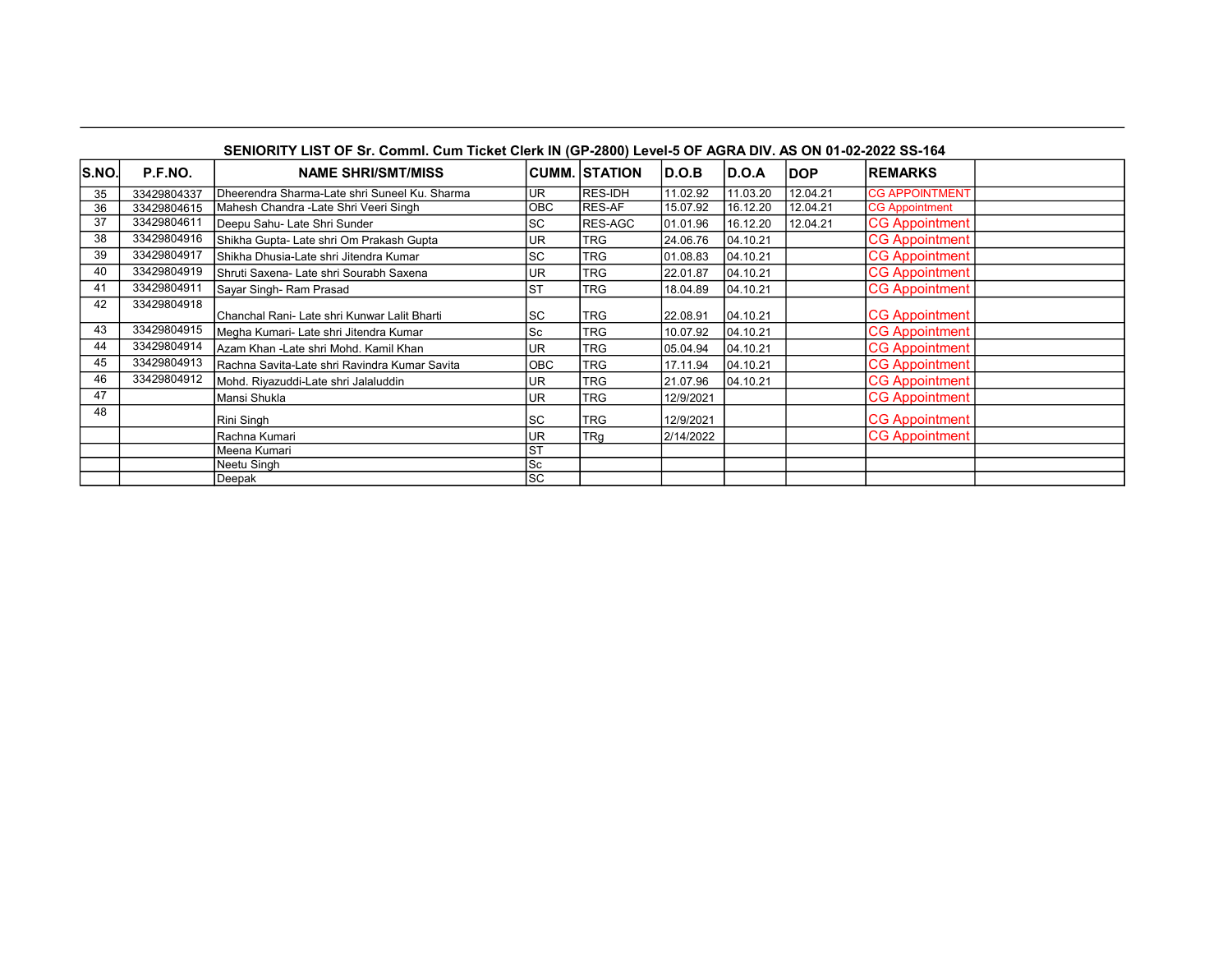| SENIORITY LIST OF Sr. Comml. Cum Ticket Clerk IN (GP-2800) Level-5 OF AGRA DIV. AS ON 01-02-2022 SS-164 |             |                                               |            |                      |           |            |            |                       |
|---------------------------------------------------------------------------------------------------------|-------------|-----------------------------------------------|------------|----------------------|-----------|------------|------------|-----------------------|
| S.NO                                                                                                    | P.F.NO.     | <b>NAME SHRI/SMT/MISS</b>                     |            | <b>CUMM. STATION</b> | D.O.B     | D.O.A      | <b>DOP</b> | <b>REMARKS</b>        |
| 35                                                                                                      | 33429804337 | Dheerendra Sharma-Late shri Suneel Ku. Sharma | lur        | <b>RES-IDH</b>       | 11.02.92  | 11.03.20   | 12.04.21   | <b>CG APPOINTMENT</b> |
| 36                                                                                                      | 33429804615 | Mahesh Chandra - Late Shri Veeri Singh        | <b>OBC</b> | RES-AF               | 15.07.92  | 16.12.20   | 12.04.21   | <b>CG Appointment</b> |
| 37                                                                                                      | 33429804611 | Deepu Sahu- Late Shri Sunder                  | <b>SC</b>  | RES-AGC              | 01.01.96  | 16.12.20   | 12.04.21   | <b>CG Appointment</b> |
| 38                                                                                                      | 33429804916 | Shikha Gupta- Late shri Om Prakash Gupta      | <b>UR</b>  | <b>TRG</b>           | 24.06.76  | [04.10.21] |            | <b>CG Appointment</b> |
| 39                                                                                                      | 33429804917 | Shikha Dhusia-Late shri Jitendra Kumar        | <b>SC</b>  | <b>TRG</b>           | 01.08.83  | [04.10.21] |            | <b>CG Appointment</b> |
| 40                                                                                                      | 33429804919 | Shruti Saxena- Late shri Sourabh Saxena       | UR         | <b>TRG</b>           | 22.01.87  | 04.10.21   |            | <b>CG Appointment</b> |
| 41                                                                                                      | 33429804911 | Sayar Singh- Ram Prasad                       | <b>ST</b>  | <b>TRG</b>           | 18.04.89  | [04.10.21] |            | <b>CG Appointment</b> |
| 42                                                                                                      | 33429804918 | Chanchal Rani- Late shri Kunwar Lalit Bharti  | <b>SC</b>  | <b>TRG</b>           | 22.08.91  | 04.10.21   |            | <b>CG Appointment</b> |
| 43                                                                                                      | 33429804915 | Megha Kumari- Late shri Jitendra Kumar        | <b>Sc</b>  | <b>TRG</b>           | 10.07.92  | [04.10.21] |            | <b>CG Appointment</b> |
| 44                                                                                                      | 33429804914 | Azam Khan -Late shri Mohd. Kamil Khan         | <b>UR</b>  | <b>TRG</b>           | 05.04.94  | 04.10.21   |            | <b>CG Appointment</b> |
| 45                                                                                                      | 33429804913 | Rachna Savita-Late shri Ravindra Kumar Savita | <b>OBC</b> | <b>TRG</b>           | 17.11.94  | 04.10.21   |            | <b>CG Appointment</b> |
| 46                                                                                                      | 33429804912 | Mohd. Riyazuddi-Late shri Jalaluddin          | <b>UR</b>  | <b>TRG</b>           | 21.07.96  | [04.10.21] |            | <b>CG Appointment</b> |
| 47                                                                                                      |             | Mansi Shukla                                  | lur        | <b>TRG</b>           | 12/9/2021 |            |            | <b>CG Appointment</b> |
| 48                                                                                                      |             | Rini Singh                                    | lsc        | <b>TRG</b>           | 12/9/2021 |            |            | <b>CG Appointment</b> |
|                                                                                                         |             | Rachna Kumari                                 | UR         | <b>TRg</b>           | 2/14/2022 |            |            | <b>CG Appointment</b> |
|                                                                                                         |             | Meena Kumari                                  | <b>ST</b>  |                      |           |            |            |                       |
|                                                                                                         |             | Neetu Singh                                   | <b>Sc</b>  |                      |           |            |            |                       |
|                                                                                                         |             | Deepak                                        | <b>ISC</b> |                      |           |            |            |                       |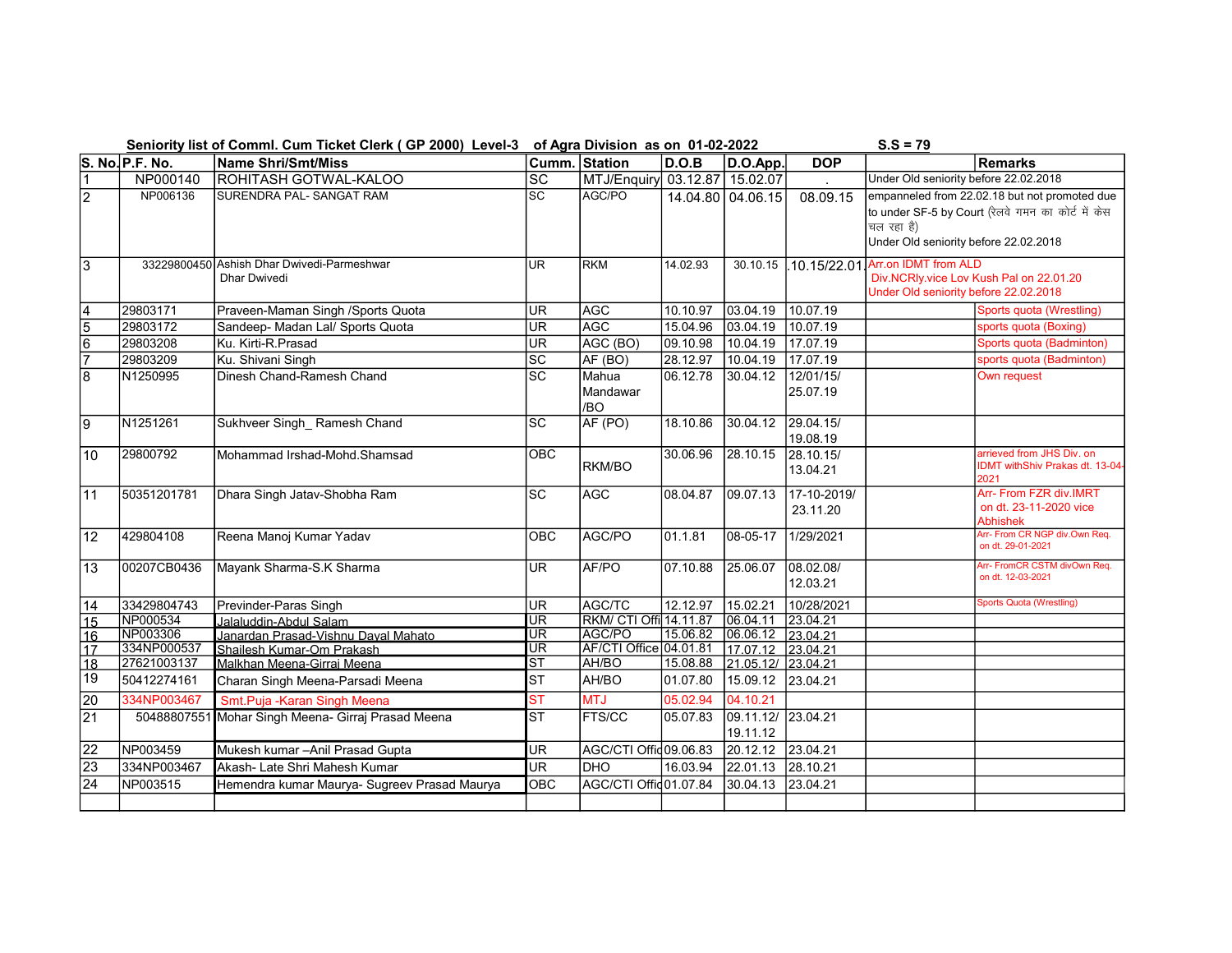| Seniority list of Comml. Cum Ticket Clerk (GP 2000) Level-3 of Agra Division as on 01-02-2022 |                 |                                                                   |                                         |                               |          |                                | $S.S = 79$              |                                                                                                                                                            |                                                                             |  |
|-----------------------------------------------------------------------------------------------|-----------------|-------------------------------------------------------------------|-----------------------------------------|-------------------------------|----------|--------------------------------|-------------------------|------------------------------------------------------------------------------------------------------------------------------------------------------------|-----------------------------------------------------------------------------|--|
|                                                                                               | S. No. P.F. No. | Name Shri/Smt/Miss                                                |                                         | Cumm. Station                 | D.O.B    | D.O.App.                       | <b>DOP</b>              |                                                                                                                                                            | <b>Remarks</b>                                                              |  |
| $\vert$ 1                                                                                     | NP000140        | ROHITASH GOTWAL-KALOO                                             | $ \overline{SC} $                       | MTJ/Enquiry 03.12.87 15.02.07 |          |                                |                         | Under Old seniority before 22.02.2018                                                                                                                      |                                                                             |  |
| $\overline{2}$                                                                                | NP006136        | SURENDRA PAL- SANGAT RAM                                          | $\overline{\text{sc}}$                  | AGC/PO                        |          | 14.04.80 04.06.15              | 08.09.15                | empanneled from 22.02.18 but not promoted due<br>to under SF-5 by Court (रेलवे गमन का कोर्ट में केस<br>चल रहा है)<br>Under Old seniority before 22.02.2018 |                                                                             |  |
| $\overline{3}$                                                                                |                 | 33229800450 Ashish Dhar Dwivedi-Parmeshwar<br><b>Dhar Dwivedi</b> | <b>UR</b>                               | <b>RKM</b>                    | 14.02.93 | 30.10.15                       | .10.15/22.01            | Arr.on IDMT from ALD<br>Div.NCRIy.vice Lov Kush Pal on 22.01.20<br>Under Old seniority before 22.02.2018                                                   |                                                                             |  |
| $\overline{\mathbf{4}}$                                                                       | 29803171        | Praveen-Maman Singh /Sports Quota                                 | UR.                                     | AGC                           | 10.10.97 | 03.04.19                       | 10.07.19                |                                                                                                                                                            | Sports quota (Wrestling)                                                    |  |
| $\overline{5}$                                                                                | 29803172        | Sandeep- Madan Lal/ Sports Quota                                  | <b>UR</b>                               | <b>AGC</b>                    | 15.04.96 | 03.04.19                       | 10.07.19                |                                                                                                                                                            | sports quota (Boxing)                                                       |  |
| $\overline{6}$                                                                                | 29803208        | Ku. Kirti-R. Prasad                                               | UR <sup></sup>                          | AGC (BO)                      | 09.10.98 | 10.04.19                       | 17.07.19                |                                                                                                                                                            | Sports quota (Badminton)                                                    |  |
| 7                                                                                             | 29803209        | Ku. Shivani Singh                                                 | $\overline{sc}$                         | AF(BO)                        | 28.12.97 | 10.04.19                       | 17.07.19                |                                                                                                                                                            | sports quota (Badminton)                                                    |  |
| $\overline{8}$                                                                                | N1250995        | Dinesh Chand-Ramesh Chand                                         | SC                                      | Mahua<br>Mandawar<br>/BO      | 06.12.78 | 30.04.12                       | 12/01/15/<br>25.07.19   |                                                                                                                                                            | Own request                                                                 |  |
| 9                                                                                             | N1251261        | Sukhveer Singh_ Ramesh Chand                                      | lsc                                     | AF (PO)                       | 18.10.86 | 30.04.12                       | 29.04.15/<br>19.08.19   |                                                                                                                                                            |                                                                             |  |
| 10                                                                                            | 29800792        | Mohammad Irshad-Mohd.Shamsad                                      | OBC                                     | <b>RKM/BO</b>                 | 30.06.96 | 28.10.15                       | 28.10.15/<br>13.04.21   |                                                                                                                                                            | arrieved from JHS Div. on<br><b>IDMT withShiv Prakas dt. 13-04-</b><br>2021 |  |
| $\overline{11}$                                                                               | 50351201781     | Dhara Singh Jatav-Shobha Ram                                      | <b>SC</b>                               | AGC                           | 08.04.87 | 09.07.13                       | 17-10-2019/<br>23.11.20 |                                                                                                                                                            | Arr- From FZR div.IMRT<br>on dt. 23-11-2020 vice<br><b>Abhishek</b>         |  |
| $\overline{12}$                                                                               | 429804108       | Reena Manoj Kumar Yadav                                           | OBC                                     | AGC/PO                        | 01.1.81  | 08-05-17                       | 1/29/2021               |                                                                                                                                                            | Arr- From CR NGP div.Own Req.<br>on dt. 29-01-2021                          |  |
| $\overline{13}$                                                                               | 00207CB0436     | Mayank Sharma-S.K Sharma                                          | lur                                     | AF/PO                         | 07.10.88 | 25.06.07                       | 08.02.08/<br>12.03.21   |                                                                                                                                                            | Arr- FromCR CSTM divOwn Req.<br>on dt. 12-03-2021                           |  |
| 14                                                                                            | 33429804743     | Previnder-Paras Singh                                             | UR.                                     | AGC/TC                        | 12.12.97 | 15.02.21                       | 10/28/2021              |                                                                                                                                                            | Sports Quota (Wrestling)                                                    |  |
| $\overline{15}$                                                                               | NP000534        | Jalaluddin-Abdul Salam                                            | JB                                      | RKM/ CTI Offi 14.11.87        |          | 06.04.11                       | 23.04.21                |                                                                                                                                                            |                                                                             |  |
| 16                                                                                            | NP003306        | Janardan Prasad-Vishnu Dayal Mahato                               | UR                                      | AGC/PO                        | 15.06.82 | $\boxed{06.06.12}$ 23.04.21    |                         |                                                                                                                                                            |                                                                             |  |
| $\overline{17}$                                                                               | 334NP000537     | Shailesh Kumar-Om Prakash                                         | UR<br>$\overline{\mathsf{s}^\intercal}$ | AF/CTI Office 04.01.81        |          | 17.07.12 23.04.21              |                         |                                                                                                                                                            |                                                                             |  |
| $\overline{18}$<br>19                                                                         | 27621003137     | Malkhan Meena-Girraj Meena                                        |                                         | AH/BO                         | 15.08.88 | $21.05.12/$ 23.04.21           |                         |                                                                                                                                                            |                                                                             |  |
|                                                                                               | 50412274161     | Charan Singh Meena-Parsadi Meena                                  | <b>ST</b>                               | AH/BO                         | 01.07.80 | 15.09.12 23.04.21              |                         |                                                                                                                                                            |                                                                             |  |
| $\overline{20}$                                                                               | 334NP003467     | Smt.Puja -Karan Singh Meena                                       | $\overline{\text{ST}}$                  | <b>MTJ</b>                    | 05.02.94 | 04.10.21                       |                         |                                                                                                                                                            |                                                                             |  |
| $\overline{21}$                                                                               | 50488807551     | Mohar Singh Meena- Girraj Prasad Meena                            | Ist                                     | <b>FTS/CC</b>                 | 05.07.83 | 09.11.12/ 23.04.21<br>19.11.12 |                         |                                                                                                                                                            |                                                                             |  |
| $\overline{22}$                                                                               | NP003459        | Mukesh kumar - Anil Prasad Gupta                                  | <b>UR</b>                               | AGC/CTI Offic09.06.83         |          | 20.12.12 23.04.21              |                         |                                                                                                                                                            |                                                                             |  |
| $\overline{23}$                                                                               | 334NP003467     | Akash- Late Shri Mahesh Kumar                                     | $\overline{\mathsf{UR}}$                | <b>DHO</b>                    | 16.03.94 | 22.01.13                       | 28.10.21                |                                                                                                                                                            |                                                                             |  |
| $\overline{24}$                                                                               | NP003515        | Hemendra kumar Maurya- Sugreev Prasad Maurya                      | <b>OBC</b>                              | AGC/CTI Offic01.07.84         |          | 30.04.13                       | 23.04.21                |                                                                                                                                                            |                                                                             |  |
|                                                                                               |                 |                                                                   |                                         |                               |          |                                |                         |                                                                                                                                                            |                                                                             |  |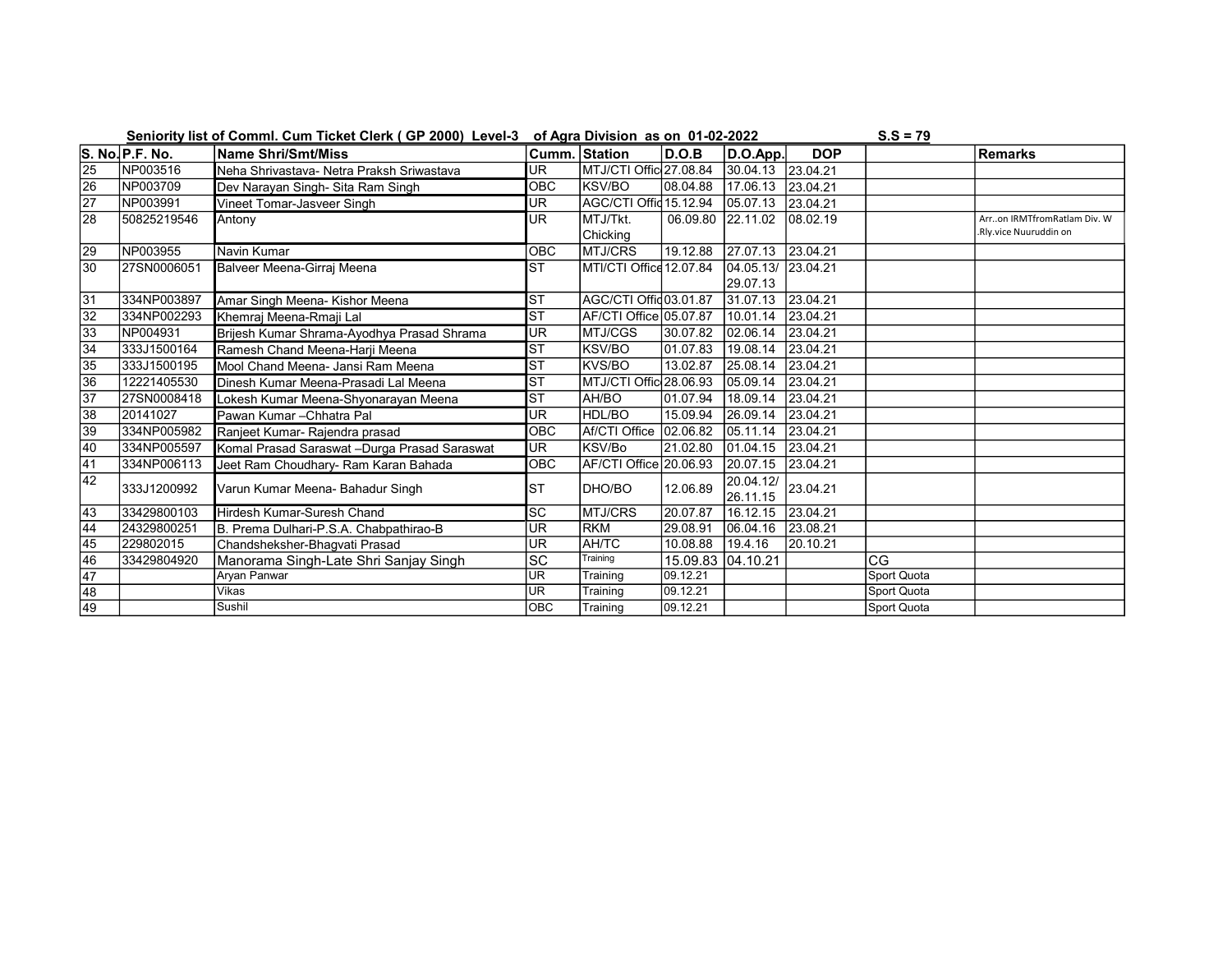|                 |                         | Seniority list of Comml. Cum Ticket Clerk (GP 2000) Level-3 of Agra Division as on 01-02-2022 |                        |                         |          |           |            | $S.S = 79$  |                             |
|-----------------|-------------------------|-----------------------------------------------------------------------------------------------|------------------------|-------------------------|----------|-----------|------------|-------------|-----------------------------|
|                 | $\vert$ S. No. P.F. No. | <b>Name Shri/Smt/Miss</b>                                                                     |                        | Cumm. Station           | D.O.B    | D.O.App.  | <b>DOP</b> |             | <b>Remarks</b>              |
| $\overline{25}$ | NP003516                | Neha Shrivastava- Netra Praksh Sriwastava                                                     | UR.                    | MTJ/CTI Offic 27.08.84  |          | 30.04.13  | 23.04.21   |             |                             |
| $\overline{26}$ | NP003709                | Dev Narayan Singh- Sita Ram Singh                                                             | <b>OBC</b>             | <b>KSV/BO</b>           | 08.04.88 | 17.06.13  | 23.04.21   |             |                             |
| $\overline{27}$ | NP003991                | Vineet Tomar-Jasveer Singh                                                                    | <b>UR</b>              | AGC/CTI Offic 15.12.94  |          | 105.07.13 | 23.04.21   |             |                             |
| 28              | 50825219546             | Antony                                                                                        | UR                     | MTJ/Tkt.                | 06.09.80 | 22.11.02  | 108.02.19  |             | Arron IRMTfromRatlam Div. W |
|                 |                         |                                                                                               |                        | Chicking                |          |           |            |             | Rly.vice Nuuruddin on       |
| $\overline{29}$ | NP003955                | Navin Kumar                                                                                   | <b>OBC</b>             | <b>MTJ/CRS</b>          | 19.12.88 | 27.07.13  | 23.04.21   |             |                             |
| 30              | 27SN0006051             | Balveer Meena-Girraj Meena                                                                    | Isт                    | MTI/CTI Office 12.07.84 |          | 04.05.13/ | 23.04.21   |             |                             |
|                 |                         |                                                                                               |                        |                         |          | 29.07.13  |            |             |                             |
| $\overline{31}$ | 334NP003897             | Amar Singh Meena- Kishor Meena                                                                | <b>ST</b>              | AGC/CTI Offid03.01.87   |          | 31.07.13  | 23.04.21   |             |                             |
| $\overline{32}$ | 334NP002293             | Khemraj Meena-Rmaji Lal                                                                       | <b>IST</b>             | AF/CTI Office 05.07.87  |          | 10.01.14  | 23.04.21   |             |                             |
| $\overline{33}$ | NP004931                | Brijesh Kumar Shrama-Ayodhya Prasad Shrama                                                    | <b>UR</b>              | MTJ/CGS                 | 30.07.82 | 02.06.14  | 23.04.21   |             |                             |
| $\overline{34}$ | 333J1500164             | Ramesh Chand Meena-Harji Meena                                                                | Isт                    | KSV/BO                  | 01.07.83 | 19.08.14  | 23.04.21   |             |                             |
| 35              | 333J1500195             | Mool Chand Meena- Jansi Ram Meena                                                             | <b>ST</b>              | KVS/BO                  | 13.02.87 | 25.08.14  | 23.04.21   |             |                             |
| 36              | 12221405530             | Dinesh Kumar Meena-Prasadi Lal Meena                                                          | Isт                    | MTJ/CTI Offic 28.06.93  |          | 05.09.14  | 23.04.21   |             |                             |
| 37              | 27SN0008418             | Lokesh Kumar Meena-Shyonarayan Meena                                                          | Isт                    | AH/BO                   | 01.07.94 | 18.09.14  | 23.04.21   |             |                             |
| 38              | 20141027                | Pawan Kumar - Chhatra Pal                                                                     | <b>UR</b>              | HDL/BO                  | 15.09.94 | 26.09.14  | 23.04.21   |             |                             |
| 39              | 334NP005982             | Ranjeet Kumar- Rajendra prasad                                                                | <b>OBC</b>             | Af/CTI Office           | 02.06.82 | 05.11.14  | 23.04.21   |             |                             |
| 40              | 334NP005597             | Komal Prasad Saraswat - Durga Prasad Saraswat                                                 | <b>UR</b>              | KSV/Bo                  | 21.02.80 | 01.04.15  | 23.04.21   |             |                             |
| 41              | 334NP006113             | Jeet Ram Choudhary- Ram Karan Bahada                                                          | <b>OBC</b>             | AF/CTI Office 20.06.93  |          | 20.07.15  | 23.04.21   |             |                             |
| 42              | 333J1200992             | Varun Kumar Meena- Bahadur Singh                                                              | Isт                    | DHO/BO                  | 12.06.89 | 20.04.12/ | 23.04.21   |             |                             |
|                 |                         |                                                                                               |                        |                         |          | 26.11.15  |            |             |                             |
| 43              | 33429800103             | Hirdesh Kumar-Suresh Chand                                                                    | $\overline{\text{sc}}$ | <b>MTJ/CRS</b>          | 20.07.87 | 16.12.15  | 23.04.21   |             |                             |
| $\overline{44}$ | 24329800251             | B. Prema Dulhari-P.S.A. Chabpathirao-B                                                        | <b>UR</b>              | <b>RKM</b>              | 29.08.91 | 06.04.16  | 23.08.21   |             |                             |
| $\overline{45}$ | 229802015               | Chandsheksher-Bhaqvati Prasad                                                                 | <b>UR</b>              | AH/TC                   | 10.08.88 | 19.4.16   | 20.10.21   |             |                             |
| 46              | 33429804920             | Manorama Singh-Late Shri Sanjay Singh                                                         | SC                     | Training                | 15.09.83 | 04.10.21  |            | CG          |                             |
| $\overline{47}$ |                         | Aryan Panwar                                                                                  | UR                     | Training                | 09.12.21 |           |            | Sport Quota |                             |
| $\overline{48}$ |                         | Vikas                                                                                         | <b>UR</b>              | Training                | 09.12.21 |           |            | Sport Quota |                             |
| 49              |                         | Sushil                                                                                        | <b>OBC</b>             | Training                | 09.12.21 |           |            | Sport Quota |                             |